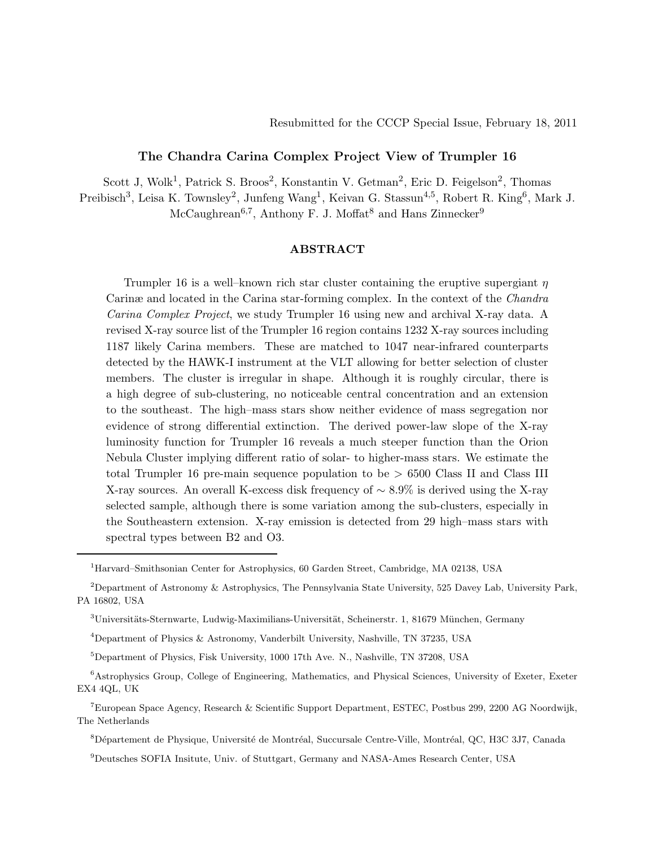# The Chandra Carina Complex Project View of Trumpler 16

Scott J, Wolk<sup>1</sup>, Patrick S. Broos<sup>2</sup>, Konstantin V. Getman<sup>2</sup>, Eric D. Feigelson<sup>2</sup>, Thomas

Preibisch<sup>3</sup>, Leisa K. Townsley<sup>2</sup>, Junfeng Wang<sup>1</sup>, Keivan G. Stassun<sup>4,5</sup>, Robert R. King<sup>6</sup>, Mark J.

McCaughrean<sup>6,7</sup>, Anthony F. J. Moffat<sup>8</sup> and Hans Zinnecker<sup>9</sup>

# ABSTRACT

Trumpler 16 is a well–known rich star cluster containing the eruptive supergiant  $\eta$ Carinæ and located in the Carina star-forming complex. In the context of the Chandra Carina Complex Project, we study Trumpler 16 using new and archival X-ray data. A revised X-ray source list of the Trumpler 16 region contains 1232 X-ray sources including 1187 likely Carina members. These are matched to 1047 near-infrared counterparts detected by the HAWK-I instrument at the VLT allowing for better selection of cluster members. The cluster is irregular in shape. Although it is roughly circular, there is a high degree of sub-clustering, no noticeable central concentration and an extension to the southeast. The high–mass stars show neither evidence of mass segregation nor evidence of strong differential extinction. The derived power-law slope of the X-ray luminosity function for Trumpler 16 reveals a much steeper function than the Orion Nebula Cluster implying different ratio of solar- to higher-mass stars. We estimate the total Trumpler 16 pre-main sequence population to be > 6500 Class II and Class III X-ray sources. An overall K-excess disk frequency of ∼ 8.9% is derived using the X-ray selected sample, although there is some variation among the sub-clusters, especially in the Southeastern extension. X-ray emission is detected from 29 high–mass stars with spectral types between B2 and O3.

 $^{1}\rm{Harvard-Smithsonian}$  Center for Astrophysics, 60 Garden Street, Cambridge, MA 02138, USA

<sup>&</sup>lt;sup>2</sup>Department of Astronomy & Astrophysics, The Pennsylvania State University, 525 Davey Lab, University Park, PA 16802, USA

<sup>&</sup>lt;sup>3</sup>Universitäts-Sternwarte, Ludwig-Maximilians-Universität, Scheinerstr. 1, 81679 München, Germany

<sup>4</sup>Department of Physics & Astronomy, Vanderbilt University, Nashville, TN 37235, USA

<sup>5</sup>Department of Physics, Fisk University, 1000 17th Ave. N., Nashville, TN 37208, USA

<sup>6</sup>Astrophysics Group, College of Engineering, Mathematics, and Physical Sciences, University of Exeter, Exeter EX4 4QL, UK

<sup>7</sup>European Space Agency, Research & Scientific Support Department, ESTEC, Postbus 299, 2200 AG Noordwijk, The Netherlands

<sup>&</sup>lt;sup>8</sup>Département de Physique, Université de Montréal, Succursale Centre-Ville, Montréal, QC, H3C 3J7, Canada

<sup>9</sup>Deutsches SOFIA Insitute, Univ. of Stuttgart, Germany and NASA-Ames Research Center, USA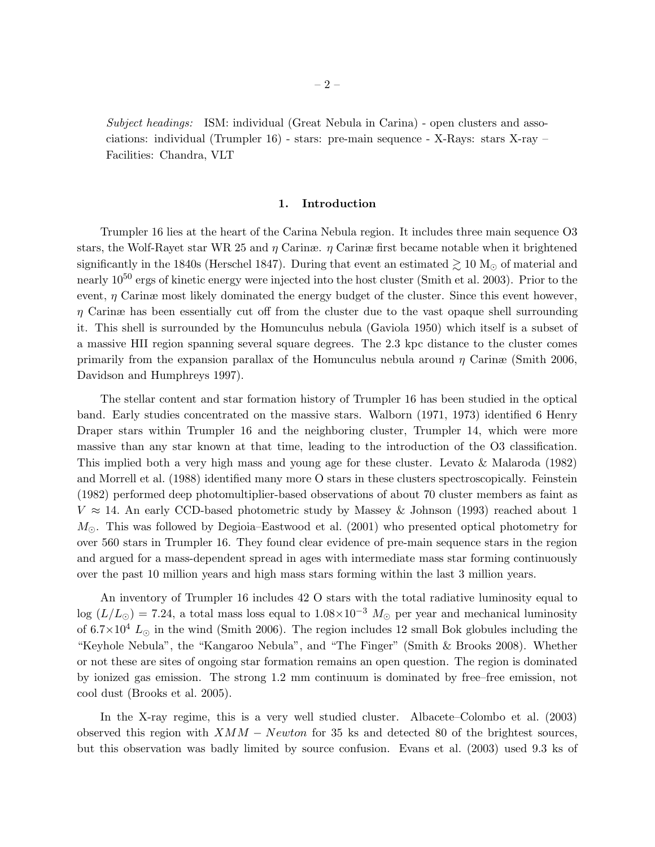Subject headings: ISM: individual (Great Nebula in Carina) - open clusters and associations: individual (Trumpler 16) - stars: pre-main sequence - X-Rays: stars X-ray – Facilities: Chandra, VLT

# 1. Introduction

Trumpler 16 lies at the heart of the Carina Nebula region. It includes three main sequence O3 stars, the Wolf-Rayet star WR 25 and  $\eta$  Carinæ.  $\eta$  Carinæ first became notable when it brightened significantly in the 1840s (Herschel 1847). During that event an estimated  $\gtrsim 10$  M<sub>☉</sub> of material and nearly 10<sup>50</sup> ergs of kinetic energy were injected into the host cluster (Smith et al. 2003). Prior to the event,  $\eta$  Carinæ most likely dominated the energy budget of the cluster. Since this event however,  $\eta$  Carinæ has been essentially cut off from the cluster due to the vast opaque shell surrounding it. This shell is surrounded by the Homunculus nebula (Gaviola 1950) which itself is a subset of a massive HII region spanning several square degrees. The 2.3 kpc distance to the cluster comes primarily from the expansion parallax of the Homunculus nebula around  $\eta$  Carinæ (Smith 2006, Davidson and Humphreys 1997).

The stellar content and star formation history of Trumpler 16 has been studied in the optical band. Early studies concentrated on the massive stars. Walborn (1971, 1973) identified 6 Henry Draper stars within Trumpler 16 and the neighboring cluster, Trumpler 14, which were more massive than any star known at that time, leading to the introduction of the O3 classification. This implied both a very high mass and young age for these cluster. Levato & Malaroda (1982) and Morrell et al. (1988) identified many more O stars in these clusters spectroscopically. Feinstein (1982) performed deep photomultiplier-based observations of about 70 cluster members as faint as  $V \approx 14$ . An early CCD-based photometric study by Massey & Johnson (1993) reached about 1  $M_{\odot}$ . This was followed by Degioia–Eastwood et al. (2001) who presented optical photometry for over 560 stars in Trumpler 16. They found clear evidence of pre-main sequence stars in the region and argued for a mass-dependent spread in ages with intermediate mass star forming continuously over the past 10 million years and high mass stars forming within the last 3 million years.

An inventory of Trumpler 16 includes 42 O stars with the total radiative luminosity equal to log ( $L/L_{\odot}$ ) = 7.24, a total mass loss equal to  $1.08\times10^{-3}$   $M_{\odot}$  per year and mechanical luminosity of  $6.7\times10^4$  L<sub>☉</sub> in the wind (Smith 2006). The region includes 12 small Bok globules including the "Keyhole Nebula", the "Kangaroo Nebula", and "The Finger" (Smith & Brooks 2008). Whether or not these are sites of ongoing star formation remains an open question. The region is dominated by ionized gas emission. The strong 1.2 mm continuum is dominated by free–free emission, not cool dust (Brooks et al. 2005).

In the X-ray regime, this is a very well studied cluster. Albacete–Colombo et al. (2003) observed this region with  $XMM - Newton$  for 35 ks and detected 80 of the brightest sources, but this observation was badly limited by source confusion. Evans et al. (2003) used 9.3 ks of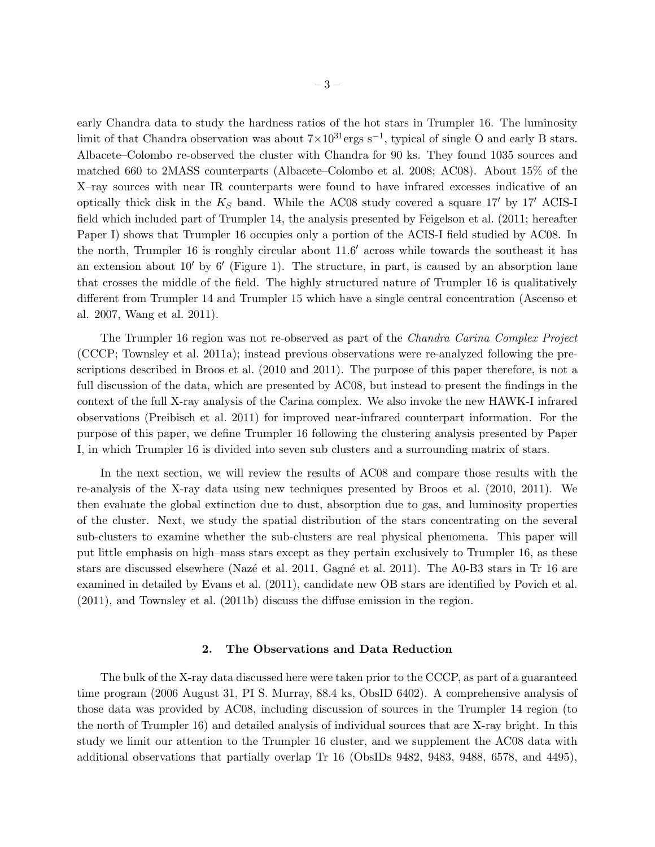early Chandra data to study the hardness ratios of the hot stars in Trumpler 16. The luminosity limit of that Chandra observation was about  $7 \times 10^{31}$ ergs s<sup>-1</sup>, typical of single O and early B stars. Albacete–Colombo re-observed the cluster with Chandra for 90 ks. They found 1035 sources and matched 660 to 2MASS counterparts (Albacete–Colombo et al. 2008; AC08). About 15% of the X–ray sources with near IR counterparts were found to have infrared excesses indicative of an optically thick disk in the  $K_S$  band. While the AC08 study covered a square 17' by 17' ACIS-I field which included part of Trumpler 14, the analysis presented by Feigelson et al. (2011; hereafter Paper I) shows that Trumpler 16 occupies only a portion of the ACIS-I field studied by AC08. In the north, Trumpler 16 is roughly circular about 11.6′ across while towards the southeast it has an extension about 10′ by 6′ (Figure 1). The structure, in part, is caused by an absorption lane that crosses the middle of the field. The highly structured nature of Trumpler 16 is qualitatively different from Trumpler 14 and Trumpler 15 which have a single central concentration (Ascenso et al. 2007, Wang et al. 2011).

The Trumpler 16 region was not re-observed as part of the *Chandra Carina Complex Project* (CCCP; Townsley et al. 2011a); instead previous observations were re-analyzed following the prescriptions described in Broos et al. (2010 and 2011). The purpose of this paper therefore, is not a full discussion of the data, which are presented by AC08, but instead to present the findings in the context of the full X-ray analysis of the Carina complex. We also invoke the new HAWK-I infrared observations (Preibisch et al. 2011) for improved near-infrared counterpart information. For the purpose of this paper, we define Trumpler 16 following the clustering analysis presented by Paper I, in which Trumpler 16 is divided into seven sub clusters and a surrounding matrix of stars.

In the next section, we will review the results of AC08 and compare those results with the re-analysis of the X-ray data using new techniques presented by Broos et al. (2010, 2011). We then evaluate the global extinction due to dust, absorption due to gas, and luminosity properties of the cluster. Next, we study the spatial distribution of the stars concentrating on the several sub-clusters to examine whether the sub-clusters are real physical phenomena. This paper will put little emphasis on high–mass stars except as they pertain exclusively to Trumpler 16, as these stars are discussed elsewhere (Nazé et al. 2011, Gagné et al. 2011). The A0-B3 stars in Tr 16 are examined in detailed by Evans et al. (2011), candidate new OB stars are identified by Povich et al. (2011), and Townsley et al. (2011b) discuss the diffuse emission in the region.

## 2. The Observations and Data Reduction

The bulk of the X-ray data discussed here were taken prior to the CCCP, as part of a guaranteed time program (2006 August 31, PI S. Murray, 88.4 ks, ObsID 6402). A comprehensive analysis of those data was provided by AC08, including discussion of sources in the Trumpler 14 region (to the north of Trumpler 16) and detailed analysis of individual sources that are X-ray bright. In this study we limit our attention to the Trumpler 16 cluster, and we supplement the AC08 data with additional observations that partially overlap Tr 16 (ObsIDs 9482, 9483, 9488, 6578, and 4495),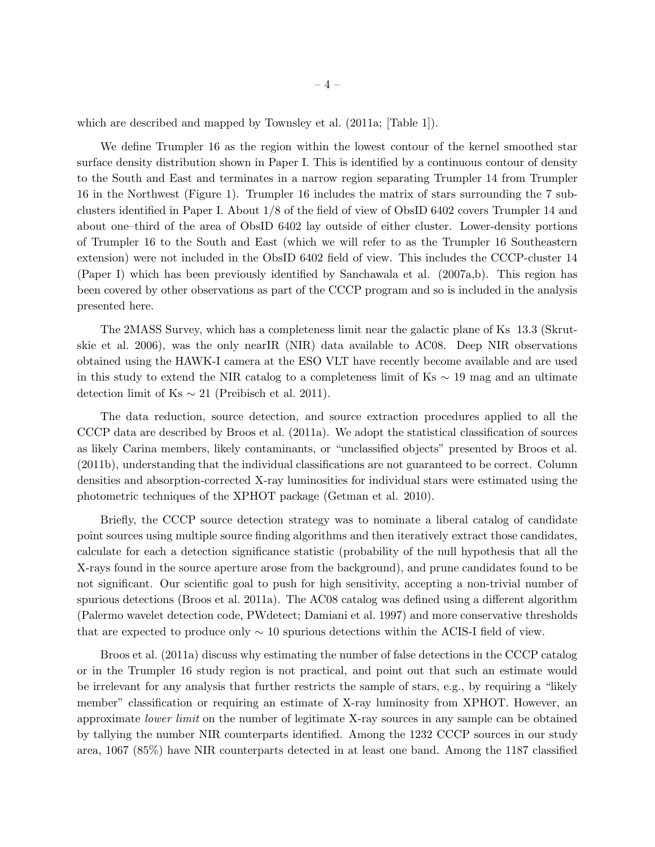which are described and mapped by Townsley et al.  $(2011a;$  [Table 1]).

We define Trumpler 16 as the region within the lowest contour of the kernel smoothed star surface density distribution shown in Paper I. This is identified by a continuous contour of density to the South and East and terminates in a narrow region separating Trumpler 14 from Trumpler 16 in the Northwest (Figure 1). Trumpler 16 includes the matrix of stars surrounding the 7 subclusters identified in Paper I. About 1/8 of the field of view of ObsID 6402 covers Trumpler 14 and about one–third of the area of ObsID 6402 lay outside of either cluster. Lower-density portions of Trumpler 16 to the South and East (which we will refer to as the Trumpler 16 Southeastern extension) were not included in the ObsID 6402 field of view. This includes the CCCP-cluster 14 (Paper I) which has been previously identified by Sanchawala et al. (2007a,b). This region has been covered by other observations as part of the CCCP program and so is included in the analysis presented here.

The 2MASS Survey, which has a completeness limit near the galactic plane of Ks 13.3 (Skrutskie et al. 2006), was the only nearIR (NIR) data available to AC08. Deep NIR observations obtained using the HAWK-I camera at the ESO VLT have recently become available and are used in this study to extend the NIR catalog to a completeness limit of Ks  $\sim$  19 mag and an ultimate detection limit of Ks  $\sim 21$  (Preibisch et al. 2011).

The data reduction, source detection, and source extraction procedures applied to all the CCCP data are described by Broos et al. (2011a). We adopt the statistical classification of sources as likely Carina members, likely contaminants, or "unclassified objects" presented by Broos et al. (2011b), understanding that the individual classifications are not guaranteed to be correct. Column densities and absorption-corrected X-ray luminosities for individual stars were estimated using the photometric techniques of the XPHOT package (Getman et al. 2010).

Briefly, the CCCP source detection strategy was to nominate a liberal catalog of candidate point sources using multiple source finding algorithms and then iteratively extract those candidates, calculate for each a detection significance statistic (probability of the null hypothesis that all the X-rays found in the source aperture arose from the background), and prune candidates found to be not significant. Our scientific goal to push for high sensitivity, accepting a non-trivial number of spurious detections (Broos et al. 2011a). The AC08 catalog was defined using a different algorithm (Palermo wavelet detection code, PWdetect; Damiani et al. 1997) and more conservative thresholds that are expected to produce only  $\sim$  10 spurious detections within the ACIS-I field of view.

Broos et al. (2011a) discuss why estimating the number of false detections in the CCCP catalog or in the Trumpler 16 study region is not practical, and point out that such an estimate would be irrelevant for any analysis that further restricts the sample of stars, e.g., by requiring a "likely member" classification or requiring an estimate of X-ray luminosity from XPHOT. However, an approximate lower limit on the number of legitimate X-ray sources in any sample can be obtained by tallying the number NIR counterparts identified. Among the 1232 CCCP sources in our study area, 1067 (85%) have NIR counterparts detected in at least one band. Among the 1187 classified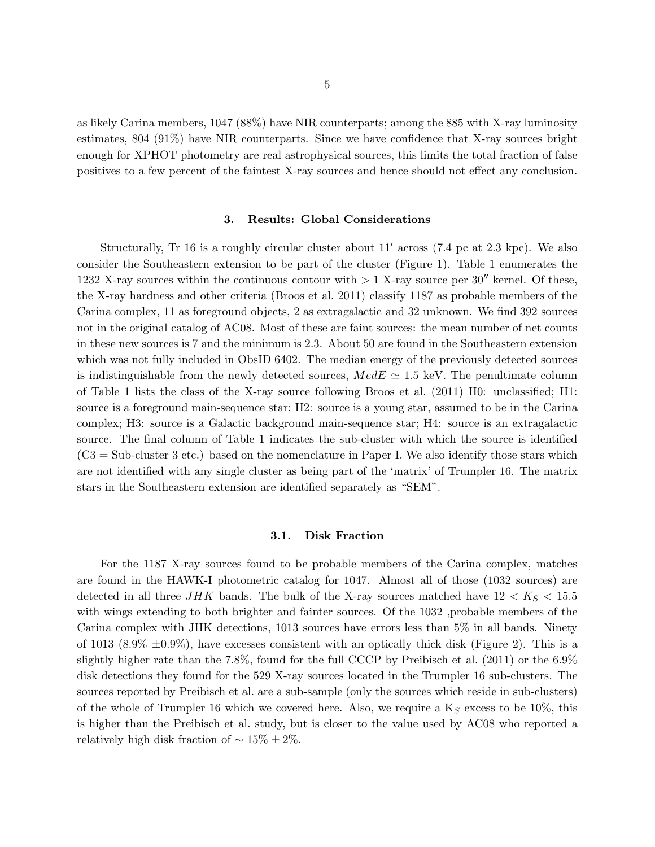as likely Carina members, 1047 (88%) have NIR counterparts; among the 885 with X-ray luminosity estimates, 804 (91%) have NIR counterparts. Since we have confidence that X-ray sources bright enough for XPHOT photometry are real astrophysical sources, this limits the total fraction of false positives to a few percent of the faintest X-ray sources and hence should not effect any conclusion.

## 3. Results: Global Considerations

Structurally, Tr 16 is a roughly circular cluster about 11′ across (7.4 pc at 2.3 kpc). We also consider the Southeastern extension to be part of the cluster (Figure 1). Table 1 enumerates the 1232 X-ray sources within the continuous contour with  $> 1$  X-ray source per 30<sup> $\prime\prime$ </sup> kernel. Of these, the X-ray hardness and other criteria (Broos et al. 2011) classify 1187 as probable members of the Carina complex, 11 as foreground objects, 2 as extragalactic and 32 unknown. We find 392 sources not in the original catalog of AC08. Most of these are faint sources: the mean number of net counts in these new sources is 7 and the minimum is 2.3. About 50 are found in the Southeastern extension which was not fully included in ObsID 6402. The median energy of the previously detected sources is indistinguishable from the newly detected sources,  $MedE \simeq 1.5$  keV. The penultimate column of Table 1 lists the class of the X-ray source following Broos et al. (2011) H0: unclassified; H1: source is a foreground main-sequence star; H2: source is a young star, assumed to be in the Carina complex; H3: source is a Galactic background main-sequence star; H4: source is an extragalactic source. The final column of Table 1 indicates the sub-cluster with which the source is identified  $(C3 = Sub-cluster 3 etc.)$  based on the nomenclature in Paper I. We also identify those stars which are not identified with any single cluster as being part of the 'matrix' of Trumpler 16. The matrix stars in the Southeastern extension are identified separately as "SEM".

# 3.1. Disk Fraction

For the 1187 X-ray sources found to be probable members of the Carina complex, matches are found in the HAWK-I photometric catalog for 1047. Almost all of those (1032 sources) are detected in all three JHK bands. The bulk of the X-ray sources matched have  $12 < K_S < 15.5$ with wings extending to both brighter and fainter sources. Of the 1032 , probable members of the Carina complex with JHK detections, 1013 sources have errors less than 5% in all bands. Ninety of 1013 (8.9%  $\pm$ 0.9%), have excesses consistent with an optically thick disk (Figure 2). This is a slightly higher rate than the 7.8%, found for the full CCCP by Preibisch et al. (2011) or the 6.9% disk detections they found for the 529 X-ray sources located in the Trumpler 16 sub-clusters. The sources reported by Preibisch et al. are a sub-sample (only the sources which reside in sub-clusters) of the whole of Trumpler 16 which we covered here. Also, we require a  $K_S$  excess to be 10%, this is higher than the Preibisch et al. study, but is closer to the value used by AC08 who reported a relatively high disk fraction of  $\sim 15\% \pm 2\%$ .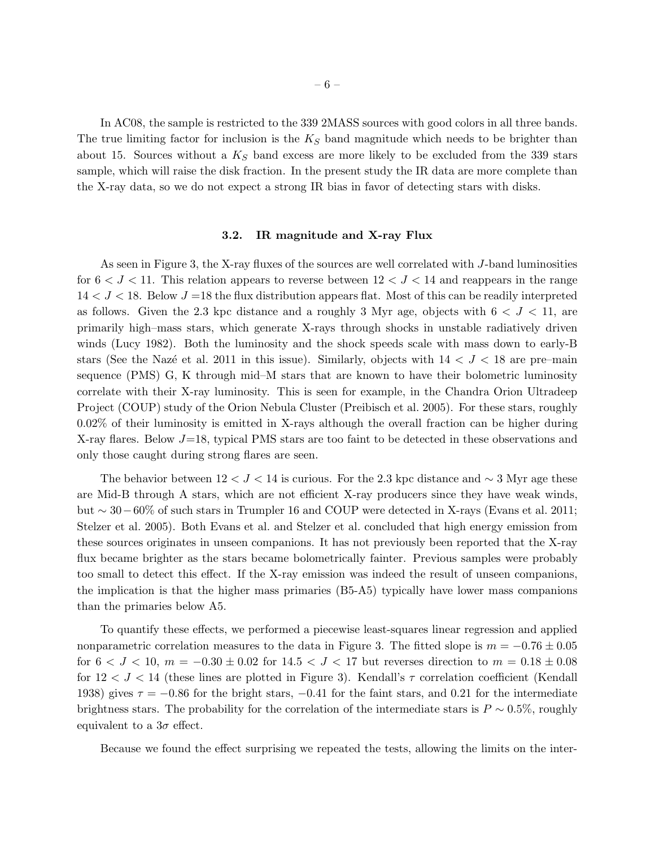In AC08, the sample is restricted to the 339 2MASS sources with good colors in all three bands. The true limiting factor for inclusion is the  $K<sub>S</sub>$  band magnitude which needs to be brighter than about 15. Sources without a  $K<sub>S</sub>$  band excess are more likely to be excluded from the 339 stars sample, which will raise the disk fraction. In the present study the IR data are more complete than the X-ray data, so we do not expect a strong IR bias in favor of detecting stars with disks.

# 3.2. IR magnitude and X-ray Flux

As seen in Figure 3, the X-ray fluxes of the sources are well correlated with J-band luminosities for  $6 < J < 11$ . This relation appears to reverse between  $12 < J < 14$  and reappears in the range  $14 < J < 18$ . Below  $J = 18$  the flux distribution appears flat. Most of this can be readily interpreted as follows. Given the 2.3 kpc distance and a roughly 3 Myr age, objects with  $6 < J < 11$ , are primarily high–mass stars, which generate X-rays through shocks in unstable radiatively driven winds (Lucy 1982). Both the luminosity and the shock speeds scale with mass down to early-B stars (See the Nazé et al. 2011 in this issue). Similarly, objects with  $14 < J < 18$  are pre–main sequence (PMS) G, K through mid–M stars that are known to have their bolometric luminosity correlate with their X-ray luminosity. This is seen for example, in the Chandra Orion Ultradeep Project (COUP) study of the Orion Nebula Cluster (Preibisch et al. 2005). For these stars, roughly 0.02% of their luminosity is emitted in X-rays although the overall fraction can be higher during X-ray flares. Below  $J=18$ , typical PMS stars are too faint to be detected in these observations and only those caught during strong flares are seen.

The behavior between  $12 < J < 14$  is curious. For the 2.3 kpc distance and  $\sim 3$  Myr age these are Mid-B through A stars, which are not efficient X-ray producers since they have weak winds, but ∼ 30−60% of such stars in Trumpler 16 and COUP were detected in X-rays (Evans et al. 2011; Stelzer et al. 2005). Both Evans et al. and Stelzer et al. concluded that high energy emission from these sources originates in unseen companions. It has not previously been reported that the X-ray flux became brighter as the stars became bolometrically fainter. Previous samples were probably too small to detect this effect. If the X-ray emission was indeed the result of unseen companions, the implication is that the higher mass primaries (B5-A5) typically have lower mass companions than the primaries below A5.

To quantify these effects, we performed a piecewise least-squares linear regression and applied nonparametric correlation measures to the data in Figure 3. The fitted slope is  $m = -0.76 \pm 0.05$ for  $6 < J < 10$ ,  $m = -0.30 \pm 0.02$  for  $14.5 < J < 17$  but reverses direction to  $m = 0.18 \pm 0.08$ for  $12 < J < 14$  (these lines are plotted in Figure 3). Kendall's  $\tau$  correlation coefficient (Kendall) 1938) gives  $\tau = -0.86$  for the bright stars,  $-0.41$  for the faint stars, and 0.21 for the intermediate brightness stars. The probability for the correlation of the intermediate stars is  $P \sim 0.5\%$ , roughly equivalent to a  $3\sigma$  effect.

Because we found the effect surprising we repeated the tests, allowing the limits on the inter-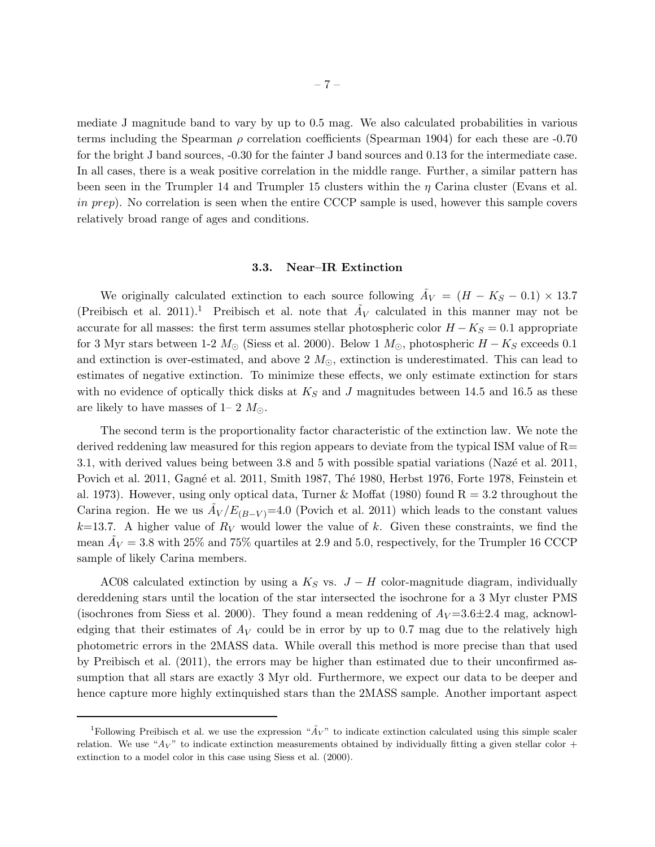mediate J magnitude band to vary by up to 0.5 mag. We also calculated probabilities in various terms including the Spearman  $\rho$  correlation coefficients (Spearman 1904) for each these are -0.70 for the bright J band sources, -0.30 for the fainter J band sources and 0.13 for the intermediate case. In all cases, there is a weak positive correlation in the middle range. Further, a similar pattern has been seen in the Trumpler 14 and Trumpler 15 clusters within the  $\eta$  Carina cluster (Evans et al. in prep). No correlation is seen when the entire CCCP sample is used, however this sample covers relatively broad range of ages and conditions.

# 3.3. Near–IR Extinction

We originally calculated extinction to each source following  $\tilde{A}_V = (H - K_S - 0.1) \times 13.7$ (Preibisch et al. 2011).<sup>1</sup> Preibisch et al. note that  $\tilde{A}_V$  calculated in this manner may not be accurate for all masses: the first term assumes stellar photospheric color  $H - K<sub>S</sub> = 0.1$  appropriate for 3 Myr stars between 1-2  $M_{\odot}$  (Siess et al. 2000). Below 1  $M_{\odot}$ , photospheric  $H - K_S$  exceeds 0.1 and extinction is over-estimated, and above 2  $M_{\odot}$ , extinction is underestimated. This can lead to estimates of negative extinction. To minimize these effects, we only estimate extinction for stars with no evidence of optically thick disks at  $K<sub>S</sub>$  and J magnitudes between 14.5 and 16.5 as these are likely to have masses of 1– 2  $M_{\odot}$ .

The second term is the proportionality factor characteristic of the extinction law. We note the derived reddening law measured for this region appears to deviate from the typical ISM value of R= 3.1, with derived values being between 3.8 and 5 with possible spatial variations (Nazé et al. 2011, Povich et al. 2011, Gagné et al. 2011, Smith 1987, Thé 1980, Herbst 1976, Forte 1978, Feinstein et al. 1973). However, using only optical data, Turner & Moffat (1980) found  $R = 3.2$  throughout the Carina region. He we us  $\tilde{A}_V/E_{(B-V)}$ =4.0 (Povich et al. 2011) which leads to the constant values  $k=13.7$ . A higher value of  $R_V$  would lower the value of k. Given these constraints, we find the mean  $\tilde{A}_V = 3.8$  with 25% and 75% quartiles at 2.9 and 5.0, respectively, for the Trumpler 16 CCCP sample of likely Carina members.

AC08 calculated extinction by using a  $K_S$  vs.  $J-H$  color-magnitude diagram, individually dereddening stars until the location of the star intersected the isochrone for a 3 Myr cluster PMS (isochrones from Siess et al. 2000). They found a mean reddening of  $A_V = 3.6 \pm 2.4$  mag, acknowledging that their estimates of  $A_V$  could be in error by up to 0.7 mag due to the relatively high photometric errors in the 2MASS data. While overall this method is more precise than that used by Preibisch et al. (2011), the errors may be higher than estimated due to their unconfirmed assumption that all stars are exactly 3 Myr old. Furthermore, we expect our data to be deeper and hence capture more highly extinquished stars than the 2MASS sample. Another important aspect

<sup>&</sup>lt;sup>1</sup>Following Preibisch et al. we use the expression " $\tilde{A}_V$ " to indicate extinction calculated using this simple scaler relation. We use " $A_V$ " to indicate extinction measurements obtained by individually fitting a given stellar color + extinction to a model color in this case using Siess et al. (2000).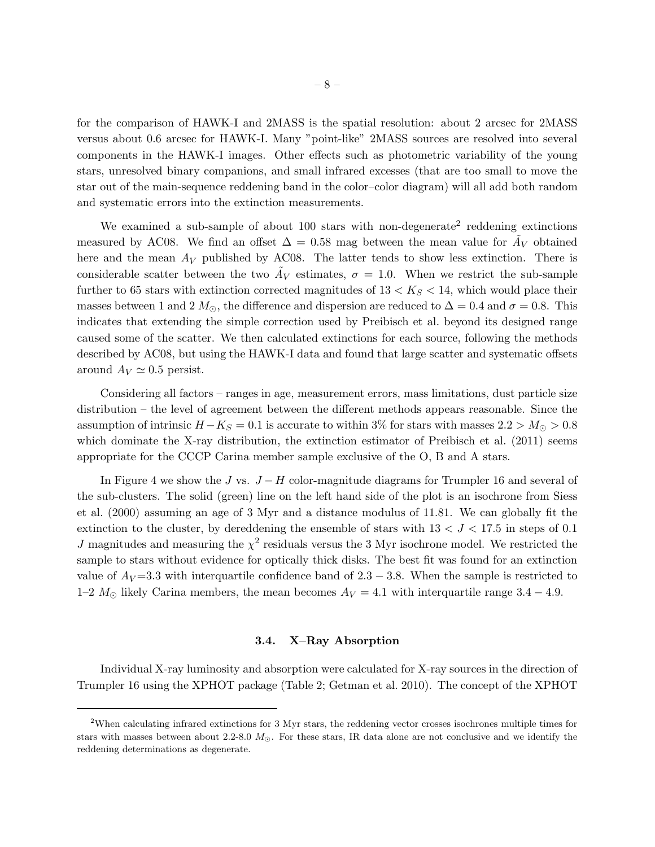for the comparison of HAWK-I and 2MASS is the spatial resolution: about 2 arcsec for 2MASS versus about 0.6 arcsec for HAWK-I. Many "point-like" 2MASS sources are resolved into several components in the HAWK-I images. Other effects such as photometric variability of the young stars, unresolved binary companions, and small infrared excesses (that are too small to move the star out of the main-sequence reddening band in the color–color diagram) will all add both random and systematic errors into the extinction measurements.

We examined a sub-sample of about  $100$  stars with non-degenerate<sup>2</sup> reddening extinctions measured by AC08. We find an offset  $\Delta = 0.58$  mag between the mean value for  $\tilde{A}_V$  obtained here and the mean  $A_V$  published by AC08. The latter tends to show less extinction. There is considerable scatter between the two  $\tilde{A}_V$  estimates,  $\sigma = 1.0$ . When we restrict the sub-sample further to 65 stars with extinction corrected magnitudes of  $13 < K_S < 14$ , which would place their masses between 1 and 2  $M_{\odot}$ , the difference and dispersion are reduced to  $\Delta = 0.4$  and  $\sigma = 0.8$ . This indicates that extending the simple correction used by Preibisch et al. beyond its designed range caused some of the scatter. We then calculated extinctions for each source, following the methods described by AC08, but using the HAWK-I data and found that large scatter and systematic offsets around  $A_V \simeq 0.5$  persist.

Considering all factors – ranges in age, measurement errors, mass limitations, dust particle size distribution – the level of agreement between the different methods appears reasonable. Since the assumption of intrinsic  $H - K_S = 0.1$  is accurate to within 3% for stars with masses  $2.2 > M_{\odot} > 0.8$ which dominate the X-ray distribution, the extinction estimator of Preibisch et al. (2011) seems appropriate for the CCCP Carina member sample exclusive of the O, B and A stars.

In Figure 4 we show the J vs.  $J-H$  color-magnitude diagrams for Trumpler 16 and several of the sub-clusters. The solid (green) line on the left hand side of the plot is an isochrone from Siess et al. (2000) assuming an age of 3 Myr and a distance modulus of 11.81. We can globally fit the extinction to the cluster, by dereddening the ensemble of stars with  $13 < J < 17.5$  in steps of 0.1 J magnitudes and measuring the  $\chi^2$  residuals versus the 3 Myr isochrone model. We restricted the sample to stars without evidence for optically thick disks. The best fit was found for an extinction value of  $A_V = 3.3$  with interquartile confidence band of  $2.3 - 3.8$ . When the sample is restricted to 1–2  $M_{\odot}$  likely Carina members, the mean becomes  $A_V = 4.1$  with interquartile range 3.4 – 4.9.

#### 3.4. X–Ray Absorption

Individual X-ray luminosity and absorption were calculated for X-ray sources in the direction of Trumpler 16 using the XPHOT package (Table 2; Getman et al. 2010). The concept of the XPHOT

<sup>2</sup>When calculating infrared extinctions for 3 Myr stars, the reddening vector crosses isochrones multiple times for stars with masses between about 2.2-8.0  $M_{\odot}$ . For these stars, IR data alone are not conclusive and we identify the reddening determinations as degenerate.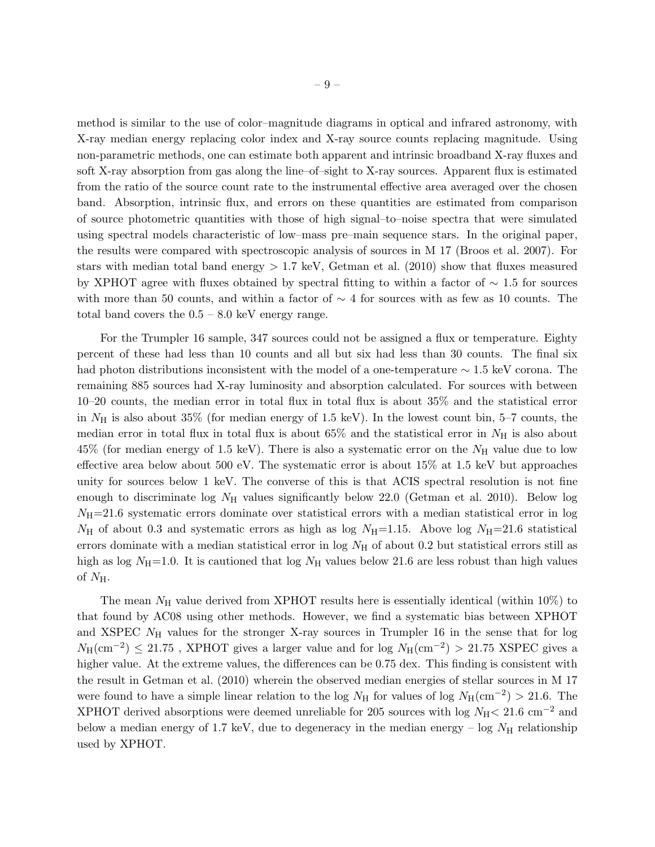method is similar to the use of color–magnitude diagrams in optical and infrared astronomy, with X-ray median energy replacing color index and X-ray source counts replacing magnitude. Using non-parametric methods, one can estimate both apparent and intrinsic broadband X-ray fluxes and soft X-ray absorption from gas along the line–of–sight to X-ray sources. Apparent flux is estimated from the ratio of the source count rate to the instrumental effective area averaged over the chosen band. Absorption, intrinsic flux, and errors on these quantities are estimated from comparison of source photometric quantities with those of high signal–to–noise spectra that were simulated using spectral models characteristic of low–mass pre–main sequence stars. In the original paper, the results were compared with spectroscopic analysis of sources in M 17 (Broos et al. 2007). For stars with median total band energy  $> 1.7$  keV, Getman et al. (2010) show that fluxes measured by XPHOT agree with fluxes obtained by spectral fitting to within a factor of ∼ 1.5 for sources with more than 50 counts, and within a factor of  $\sim$  4 for sources with as few as 10 counts. The total band covers the  $0.5 - 8.0$  keV energy range.

For the Trumpler 16 sample, 347 sources could not be assigned a flux or temperature. Eighty percent of these had less than 10 counts and all but six had less than 30 counts. The final six had photon distributions inconsistent with the model of a one-temperature ∼ 1.5 keV corona. The remaining 885 sources had X-ray luminosity and absorption calculated. For sources with between 10–20 counts, the median error in total flux in total flux is about 35% and the statistical error in  $N_{\rm H}$  is also about 35% (for median energy of 1.5 keV). In the lowest count bin, 5–7 counts, the median error in total flux in total flux is about 65% and the statistical error in  $N_{\rm H}$  is also about  $45\%$  (for median energy of 1.5 keV). There is also a systematic error on the  $N_{\rm H}$  value due to low effective area below about 500 eV. The systematic error is about  $15\%$  at 1.5 keV but approaches unity for sources below 1 keV. The converse of this is that ACIS spectral resolution is not fine enough to discriminate log  $N_{\rm H}$  values significantly below 22.0 (Getman et al. 2010). Below log  $N_{\text{H}}$ =21.6 systematic errors dominate over statistical errors with a median statistical error in log  $N_{\rm H}$  of about 0.3 and systematic errors as high as log  $N_{\rm H}=1.15$ . Above log  $N_{\rm H}=21.6$  statistical errors dominate with a median statistical error in  $log N<sub>H</sub>$  of about 0.2 but statistical errors still as high as log  $N_{\rm H}$ =1.0. It is cautioned that log  $N_{\rm H}$  values below 21.6 are less robust than high values of  $N_{\rm H}$ .

The mean  $N_{\rm H}$  value derived from XPHOT results here is essentially identical (within 10%) to that found by AC08 using other methods. However, we find a systematic bias between XPHOT and XSPEC  $N<sub>H</sub>$  values for the stronger X-ray sources in Trumpler 16 in the sense that for log  $N_{\rm H}$ (cm<sup>-2</sup>) ≤ 21.75, XPHOT gives a larger value and for log  $N_{\rm H}$ (cm<sup>-2</sup>) > 21.75 XSPEC gives a higher value. At the extreme values, the differences can be 0.75 dex. This finding is consistent with the result in Getman et al. (2010) wherein the observed median energies of stellar sources in M 17 were found to have a simple linear relation to the log  $N_{\rm H}$  for values of log  $N_{\rm H}$ (cm<sup>-2</sup>) > 21.6. The XPHOT derived absorptions were deemed unreliable for 205 sources with log  $N_{\rm H}$  < 21.6 cm<sup>-2</sup> and below a median energy of 1.7 keV, due to degeneracy in the median energy – log  $N_H$  relationship used by XPHOT.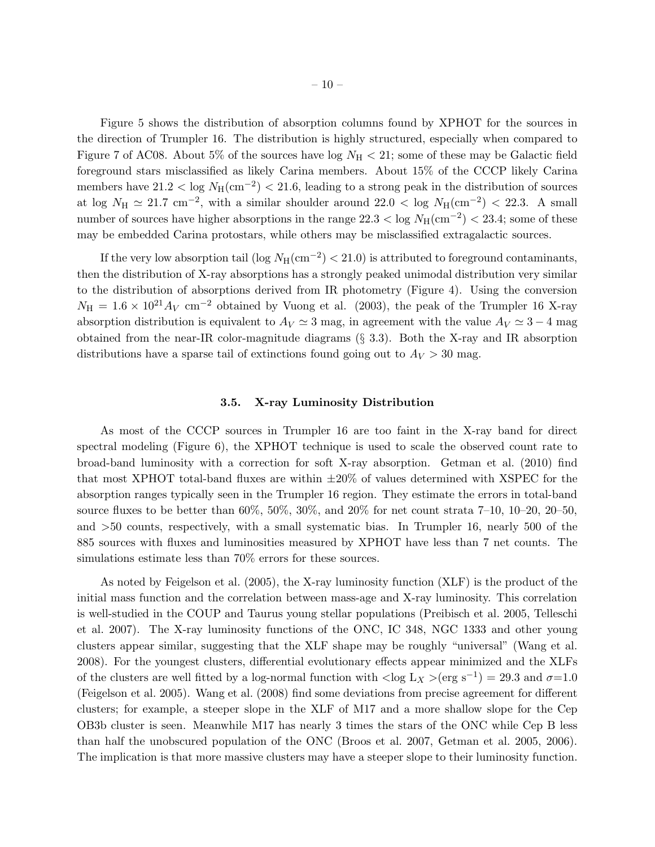Figure 5 shows the distribution of absorption columns found by XPHOT for the sources in the direction of Trumpler 16. The distribution is highly structured, especially when compared to Figure 7 of AC08. About 5% of the sources have  $log N<sub>H</sub> < 21$ ; some of these may be Galactic field foreground stars misclassified as likely Carina members. About 15% of the CCCP likely Carina members have  $21.2 <$  log  $N_H$ (cm<sup>-2</sup>)  $< 21.6$ , leading to a strong peak in the distribution of sources at log  $N_{\rm H} \simeq 21.7$  cm<sup>-2</sup>, with a similar shoulder around  $22.0 <$  log  $N_{\rm H}$ (cm<sup>-2</sup>)  $< 22.3$ . A small number of sources have higher absorptions in the range  $22.3 <$  log  $N_H(\text{cm}^{-2}) < 23.4$ ; some of these may be embedded Carina protostars, while others may be misclassified extragalactic sources.

If the very low absorption tail (log  $N_H(\text{cm}^{-2}) < 21.0$ ) is attributed to foreground contaminants, then the distribution of X-ray absorptions has a strongly peaked unimodal distribution very similar to the distribution of absorptions derived from IR photometry (Figure 4). Using the conversion  $N_{\rm H} = 1.6 \times 10^{21} A_V$  cm<sup>-2</sup> obtained by Vuong et al. (2003), the peak of the Trumpler 16 X-ray absorption distribution is equivalent to  $A_V \simeq 3$  mag, in agreement with the value  $A_V \simeq 3 - 4$  mag obtained from the near-IR color-magnitude diagrams (§ 3.3). Both the X-ray and IR absorption distributions have a sparse tail of extinctions found going out to  $A_V > 30$  mag.

#### 3.5. X-ray Luminosity Distribution

As most of the CCCP sources in Trumpler 16 are too faint in the X-ray band for direct spectral modeling (Figure 6), the XPHOT technique is used to scale the observed count rate to broad-band luminosity with a correction for soft X-ray absorption. Getman et al. (2010) find that most XPHOT total-band fluxes are within  $\pm 20\%$  of values determined with XSPEC for the absorption ranges typically seen in the Trumpler 16 region. They estimate the errors in total-band source fluxes to be better than 60%, 50%, 30%, and 20% for net count strata 7–10, 10–20, 20–50, and >50 counts, respectively, with a small systematic bias. In Trumpler 16, nearly 500 of the 885 sources with fluxes and luminosities measured by XPHOT have less than 7 net counts. The simulations estimate less than 70% errors for these sources.

As noted by Feigelson et al. (2005), the X-ray luminosity function (XLF) is the product of the initial mass function and the correlation between mass-age and X-ray luminosity. This correlation is well-studied in the COUP and Taurus young stellar populations (Preibisch et al. 2005, Telleschi et al. 2007). The X-ray luminosity functions of the ONC, IC 348, NGC 1333 and other young clusters appear similar, suggesting that the XLF shape may be roughly "universal" (Wang et al. 2008). For the youngest clusters, differential evolutionary effects appear minimized and the XLFs of the clusters are well fitted by a log-normal function with  $\langle \log L_X \rangle (\text{erg s}^{-1}) = 29.3$  and  $\sigma = 1.0$ (Feigelson et al. 2005). Wang et al. (2008) find some deviations from precise agreement for different clusters; for example, a steeper slope in the XLF of M17 and a more shallow slope for the Cep OB3b cluster is seen. Meanwhile M17 has nearly 3 times the stars of the ONC while Cep B less than half the unobscured population of the ONC (Broos et al. 2007, Getman et al. 2005, 2006). The implication is that more massive clusters may have a steeper slope to their luminosity function.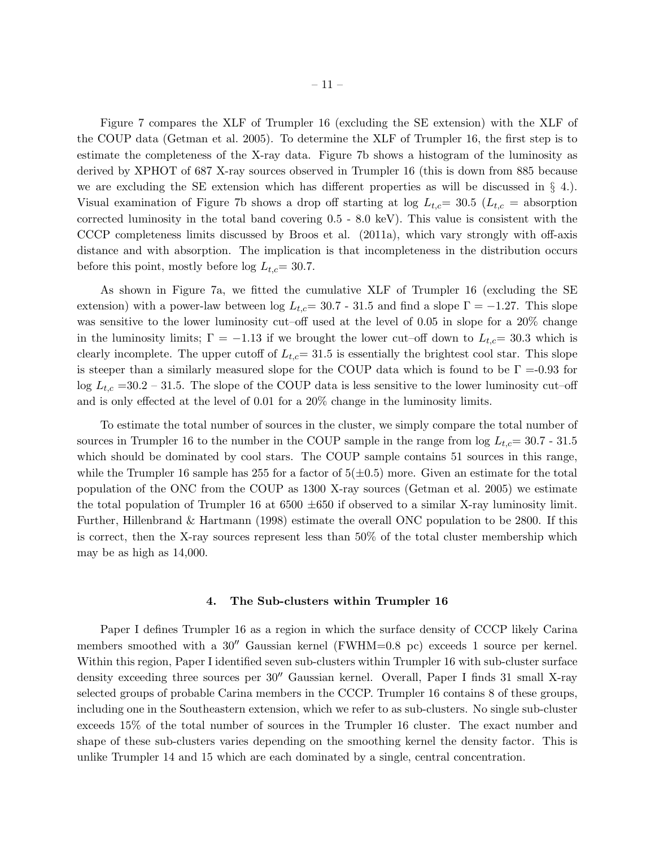Figure 7 compares the XLF of Trumpler 16 (excluding the SE extension) with the XLF of the COUP data (Getman et al. 2005). To determine the XLF of Trumpler 16, the first step is to estimate the completeness of the X-ray data. Figure 7b shows a histogram of the luminosity as derived by XPHOT of 687 X-ray sources observed in Trumpler 16 (this is down from 885 because we are excluding the SE extension which has different properties as will be discussed in  $\S$  4. Visual examination of Figure 7b shows a drop off starting at log  $L_{t,c} = 30.5$  ( $L_{t,c}$  = absorption corrected luminosity in the total band covering 0.5 - 8.0 keV). This value is consistent with the CCCP completeness limits discussed by Broos et al. (2011a), which vary strongly with off-axis distance and with absorption. The implication is that incompleteness in the distribution occurs before this point, mostly before log  $L_{t,c}$  = 30.7.

As shown in Figure 7a, we fitted the cumulative XLF of Trumpler 16 (excluding the SE extension) with a power-law between log  $L_{tc}= 30.7$  - 31.5 and find a slope  $\Gamma = -1.27$ . This slope was sensitive to the lower luminosity cut–off used at the level of 0.05 in slope for a 20% change in the luminosity limits;  $\Gamma = -1.13$  if we brought the lower cut–off down to  $L_{t,c} = 30.3$  which is clearly incomplete. The upper cutoff of  $L_{t,c}= 31.5$  is essentially the brightest cool star. This slope is steeper than a similarly measured slope for the COUP data which is found to be  $\Gamma = 0.93$  for  $\log L_{t,c}$  =30.2 – 31.5. The slope of the COUP data is less sensitive to the lower luminosity cut–off and is only effected at the level of 0.01 for a 20% change in the luminosity limits.

To estimate the total number of sources in the cluster, we simply compare the total number of sources in Trumpler 16 to the number in the COUP sample in the range from  $log L_{t,c}= 30.7 - 31.5$ which should be dominated by cool stars. The COUP sample contains 51 sources in this range, while the Trumpler 16 sample has 255 for a factor of  $5(\pm 0.5)$  more. Given an estimate for the total population of the ONC from the COUP as 1300 X-ray sources (Getman et al. 2005) we estimate the total population of Trumpler 16 at  $6500 \pm 650$  if observed to a similar X-ray luminosity limit. Further, Hillenbrand & Hartmann (1998) estimate the overall ONC population to be 2800. If this is correct, then the X-ray sources represent less than 50% of the total cluster membership which may be as high as 14,000.

## 4. The Sub-clusters within Trumpler 16

Paper I defines Trumpler 16 as a region in which the surface density of CCCP likely Carina members smoothed with a 30′′ Gaussian kernel (FWHM=0.8 pc) exceeds 1 source per kernel. Within this region, Paper I identified seven sub-clusters within Trumpler 16 with sub-cluster surface density exceeding three sources per 30′′ Gaussian kernel. Overall, Paper I finds 31 small X-ray selected groups of probable Carina members in the CCCP. Trumpler 16 contains 8 of these groups, including one in the Southeastern extension, which we refer to as sub-clusters. No single sub-cluster exceeds 15% of the total number of sources in the Trumpler 16 cluster. The exact number and shape of these sub-clusters varies depending on the smoothing kernel the density factor. This is unlike Trumpler 14 and 15 which are each dominated by a single, central concentration.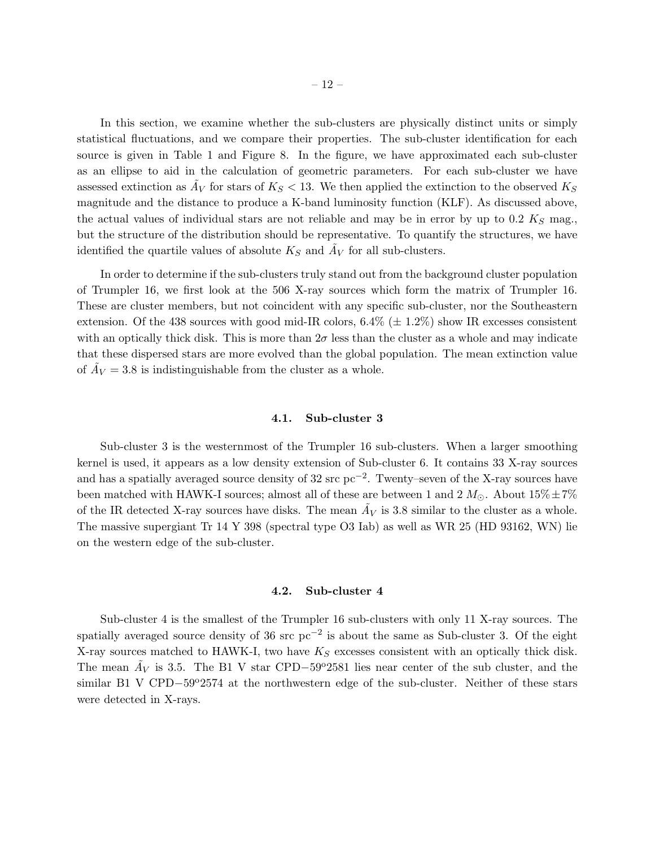In this section, we examine whether the sub-clusters are physically distinct units or simply statistical fluctuations, and we compare their properties. The sub-cluster identification for each source is given in Table 1 and Figure 8. In the figure, we have approximated each sub-cluster as an ellipse to aid in the calculation of geometric parameters. For each sub-cluster we have assessed extinction as  $\tilde{A}_V$  for stars of  $K_S < 13$ . We then applied the extinction to the observed  $K_S$ magnitude and the distance to produce a K-band luminosity function (KLF). As discussed above, the actual values of individual stars are not reliable and may be in error by up to 0.2  $K_s$  mag. but the structure of the distribution should be representative. To quantify the structures, we have identified the quartile values of absolute  $K_S$  and  $\tilde{A}_V$  for all sub-clusters.

In order to determine if the sub-clusters truly stand out from the background cluster population of Trumpler 16, we first look at the 506 X-ray sources which form the matrix of Trumpler 16. These are cluster members, but not coincident with any specific sub-cluster, nor the Southeastern extension. Of the 438 sources with good mid-IR colors,  $6.4\%$  ( $\pm$  1.2%) show IR excesses consistent with an optically thick disk. This is more than  $2\sigma$  less than the cluster as a whole and may indicate that these dispersed stars are more evolved than the global population. The mean extinction value of  $\tilde{A}_V = 3.8$  is indistinguishable from the cluster as a whole.

# 4.1. Sub-cluster 3

Sub-cluster 3 is the westernmost of the Trumpler 16 sub-clusters. When a larger smoothing kernel is used, it appears as a low density extension of Sub-cluster 6. It contains 33 X-ray sources and has a spatially averaged source density of 32 src  $pc^{-2}$ . Twenty–seven of the X-ray sources have been matched with HAWK-I sources; almost all of these are between 1 and 2  $M_{\odot}$ . About  $15\% \pm 7\%$ of the IR detected X-ray sources have disks. The mean  $\tilde{A}_V$  is 3.8 similar to the cluster as a whole. The massive supergiant Tr 14 Y 398 (spectral type O3 Iab) as well as WR 25 (HD 93162, WN) lie on the western edge of the sub-cluster.

#### 4.2. Sub-cluster 4

Sub-cluster 4 is the smallest of the Trumpler 16 sub-clusters with only 11 X-ray sources. The spatially averaged source density of 36 src pc<sup>-2</sup> is about the same as Sub-cluster 3. Of the eight X-ray sources matched to HAWK-I, two have  $K_S$  excesses consistent with an optically thick disk. The mean  $\tilde{A}_V$  is 3.5. The B1 V star CPD–59<sup>o</sup>2581 lies near center of the sub cluster, and the similar B1 V CPD−59°2574 at the northwestern edge of the sub-cluster. Neither of these stars were detected in X-rays.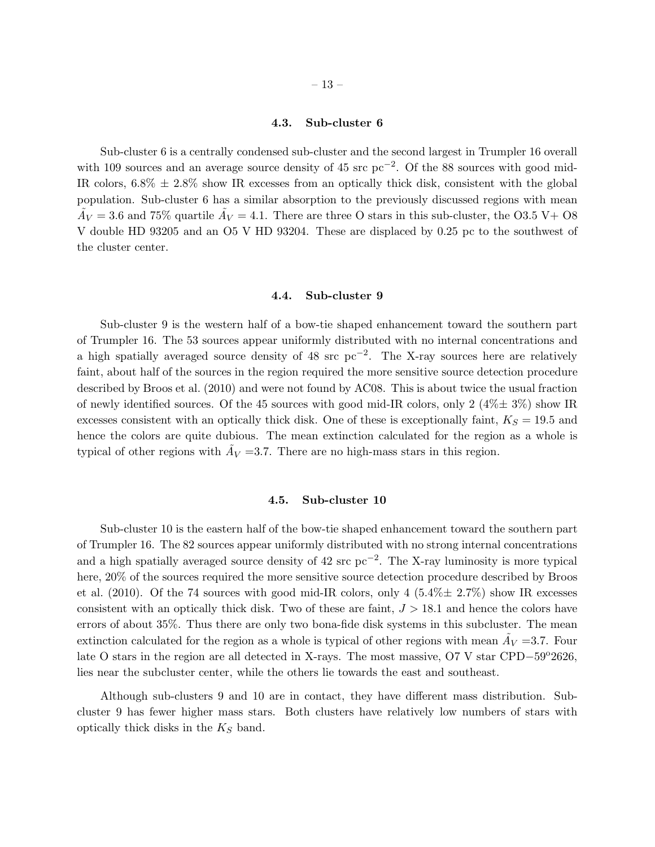# 4.3. Sub-cluster 6

Sub-cluster 6 is a centrally condensed sub-cluster and the second largest in Trumpler 16 overall with 109 sources and an average source density of 45 src pc<sup>-2</sup>. Of the 88 sources with good mid-IR colors,  $6.8\% \pm 2.8\%$  show IR excesses from an optically thick disk, consistent with the global population. Sub-cluster 6 has a similar absorption to the previously discussed regions with mean  $\tilde{A}_V = 3.6$  and 75% quartile  $\tilde{A}_V = 4.1$ . There are three O stars in this sub-cluster, the O3.5 V + O8 V double HD 93205 and an O5 V HD 93204. These are displaced by 0.25 pc to the southwest of the cluster center.

#### 4.4. Sub-cluster 9

Sub-cluster 9 is the western half of a bow-tie shaped enhancement toward the southern part of Trumpler 16. The 53 sources appear uniformly distributed with no internal concentrations and a high spatially averaged source density of 48 src  $pc^{-2}$ . The X-ray sources here are relatively faint, about half of the sources in the region required the more sensitive source detection procedure described by Broos et al. (2010) and were not found by AC08. This is about twice the usual fraction of newly identified sources. Of the 45 sources with good mid-IR colors, only 2  $(4\% \pm 3\%)$  show IR excesses consistent with an optically thick disk. One of these is exceptionally faint,  $K_S = 19.5$  and hence the colors are quite dubious. The mean extinction calculated for the region as a whole is typical of other regions with  $\tilde{A}_V$  =3.7. There are no high-mass stars in this region.

# 4.5. Sub-cluster 10

Sub-cluster 10 is the eastern half of the bow-tie shaped enhancement toward the southern part of Trumpler 16. The 82 sources appear uniformly distributed with no strong internal concentrations and a high spatially averaged source density of 42 src pc<sup>-2</sup>. The X-ray luminosity is more typical here, 20% of the sources required the more sensitive source detection procedure described by Broos et al.  $(2010)$ . Of the 74 sources with good mid-IR colors, only 4  $(5.4\% \pm 2.7\%)$  show IR excesses consistent with an optically thick disk. Two of these are faint,  $J > 18.1$  and hence the colors have errors of about 35%. Thus there are only two bona-fide disk systems in this subcluster. The mean extinction calculated for the region as a whole is typical of other regions with mean  $\tilde{A}_V$  =3.7. Four late O stars in the region are all detected in X-rays. The most massive, O7 V star CPD–59 $^{\circ}2626$ , lies near the subcluster center, while the others lie towards the east and southeast.

Although sub-clusters 9 and 10 are in contact, they have different mass distribution. Subcluster 9 has fewer higher mass stars. Both clusters have relatively low numbers of stars with optically thick disks in the  $K_S$  band.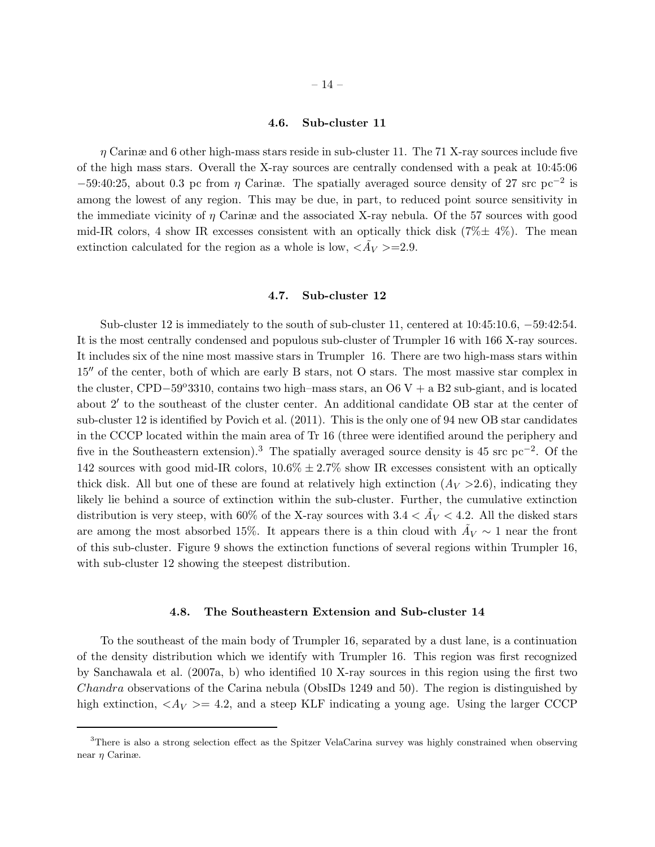# 4.6. Sub-cluster 11

 $\eta$  Carinæ and 6 other high-mass stars reside in sub-cluster 11. The 71 X-ray sources include five of the high mass stars. Overall the X-ray sources are centrally condensed with a peak at 10:45:06  $-59:40:25$ , about 0.3 pc from  $\eta$  Carinæ. The spatially averaged source density of 27 src pc<sup>-2</sup> is among the lowest of any region. This may be due, in part, to reduced point source sensitivity in the immediate vicinity of  $\eta$  Carinæ and the associated X-ray nebula. Of the 57 sources with good mid-IR colors, 4 show IR excesses consistent with an optically thick disk  $(7\% \pm 4\%)$ . The mean extinction calculated for the region as a whole is low,  $\langle \tilde{A}_V \rangle = 2.9$ .

#### 4.7. Sub-cluster 12

Sub-cluster 12 is immediately to the south of sub-cluster 11, centered at 10:45:10.6, −59:42:54. It is the most centrally condensed and populous sub-cluster of Trumpler 16 with 166 X-ray sources. It includes six of the nine most massive stars in Trumpler 16. There are two high-mass stars within 15′′ of the center, both of which are early B stars, not O stars. The most massive star complex in the cluster, CPD–59°3310, contains two high–mass stars, an  $06V + aB2$  sub-giant, and is located about 2′ to the southeast of the cluster center. An additional candidate OB star at the center of sub-cluster 12 is identified by Povich et al. (2011). This is the only one of 94 new OB star candidates in the CCCP located within the main area of Tr 16 (three were identified around the periphery and five in the Southeastern extension).<sup>3</sup> The spatially averaged source density is 45 src pc<sup>-2</sup>. Of the 142 sources with good mid-IR colors,  $10.6\% \pm 2.7\%$  show IR excesses consistent with an optically thick disk. All but one of these are found at relatively high extinction  $(A_V > 2.6)$ , indicating they likely lie behind a source of extinction within the sub-cluster. Further, the cumulative extinction distribution is very steep, with 60% of the X-ray sources with  $3.4 < \tilde{A}_V < 4.2$ . All the disked stars are among the most absorbed 15%. It appears there is a thin cloud with  $\tilde{A}_V \sim 1$  near the front of this sub-cluster. Figure 9 shows the extinction functions of several regions within Trumpler 16, with sub-cluster 12 showing the steepest distribution.

## 4.8. The Southeastern Extension and Sub-cluster 14

To the southeast of the main body of Trumpler 16, separated by a dust lane, is a continuation of the density distribution which we identify with Trumpler 16. This region was first recognized by Sanchawala et al. (2007a, b) who identified 10 X-ray sources in this region using the first two Chandra observations of the Carina nebula (ObsIDs 1249 and 50). The region is distinguished by high extinction,  $\langle A_V \rangle = 4.2$ , and a steep KLF indicating a young age. Using the larger CCCP

<sup>3</sup>There is also a strong selection effect as the Spitzer VelaCarina survey was highly constrained when observing near η Carinæ.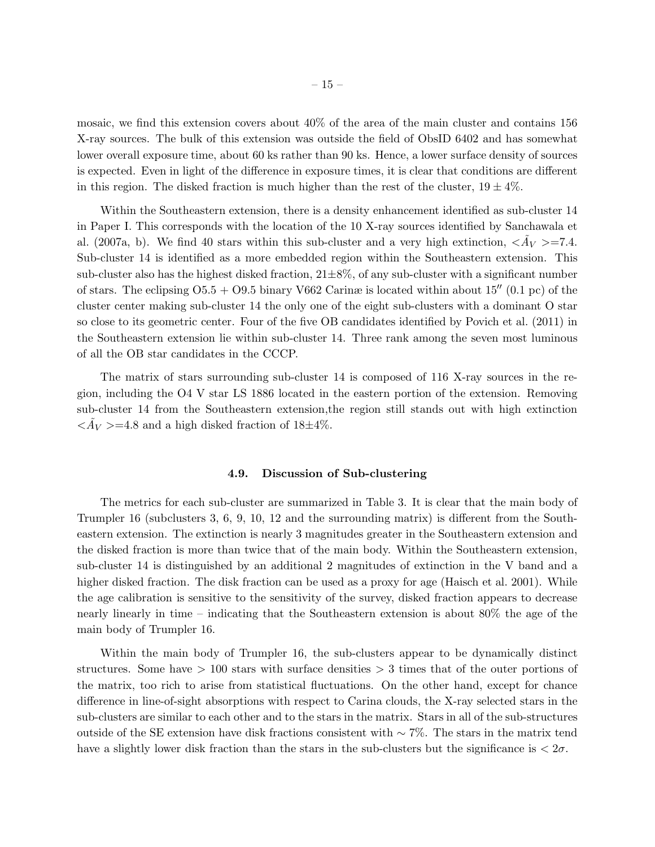mosaic, we find this extension covers about 40% of the area of the main cluster and contains 156 X-ray sources. The bulk of this extension was outside the field of ObsID 6402 and has somewhat lower overall exposure time, about 60 ks rather than 90 ks. Hence, a lower surface density of sources is expected. Even in light of the difference in exposure times, it is clear that conditions are different in this region. The disked fraction is much higher than the rest of the cluster,  $19 \pm 4\%$ .

Within the Southeastern extension, there is a density enhancement identified as sub-cluster 14 in Paper I. This corresponds with the location of the 10 X-ray sources identified by Sanchawala et al. (2007a, b). We find 40 stars within this sub-cluster and a very high extinction,  $\langle \tilde{A}_V \rangle = 7.4$ . Sub-cluster 14 is identified as a more embedded region within the Southeastern extension. This sub-cluster also has the highest disked fraction,  $21\pm8\%$ , of any sub-cluster with a significant number of stars. The eclipsing  $O5.5 + O9.5$  binary V662 Carinæ is located within about 15<sup> $\prime\prime$ </sup> (0.1 pc) of the cluster center making sub-cluster 14 the only one of the eight sub-clusters with a dominant O star so close to its geometric center. Four of the five OB candidates identified by Povich et al. (2011) in the Southeastern extension lie within sub-cluster 14. Three rank among the seven most luminous of all the OB star candidates in the CCCP.

The matrix of stars surrounding sub-cluster 14 is composed of 116 X-ray sources in the region, including the O4 V star LS 1886 located in the eastern portion of the extension. Removing sub-cluster 14 from the Southeastern extension,the region still stands out with high extinction  $\langle \tilde{A}_V \rangle = 4.8$  and a high disked fraction of  $18 \pm 4\%$ .

# 4.9. Discussion of Sub-clustering

The metrics for each sub-cluster are summarized in Table 3. It is clear that the main body of Trumpler 16 (subclusters 3, 6, 9, 10, 12 and the surrounding matrix) is different from the Southeastern extension. The extinction is nearly 3 magnitudes greater in the Southeastern extension and the disked fraction is more than twice that of the main body. Within the Southeastern extension, sub-cluster 14 is distinguished by an additional 2 magnitudes of extinction in the V band and a higher disked fraction. The disk fraction can be used as a proxy for age (Haisch et al. 2001). While the age calibration is sensitive to the sensitivity of the survey, disked fraction appears to decrease nearly linearly in time – indicating that the Southeastern extension is about 80% the age of the main body of Trumpler 16.

Within the main body of Trumpler 16, the sub-clusters appear to be dynamically distinct structures. Some have  $> 100$  stars with surface densities  $> 3$  times that of the outer portions of the matrix, too rich to arise from statistical fluctuations. On the other hand, except for chance difference in line-of-sight absorptions with respect to Carina clouds, the X-ray selected stars in the sub-clusters are similar to each other and to the stars in the matrix. Stars in all of the sub-structures outside of the SE extension have disk fractions consistent with ∼ 7%. The stars in the matrix tend have a slightly lower disk fraction than the stars in the sub-clusters but the significance is  $\langle 2\sigma$ .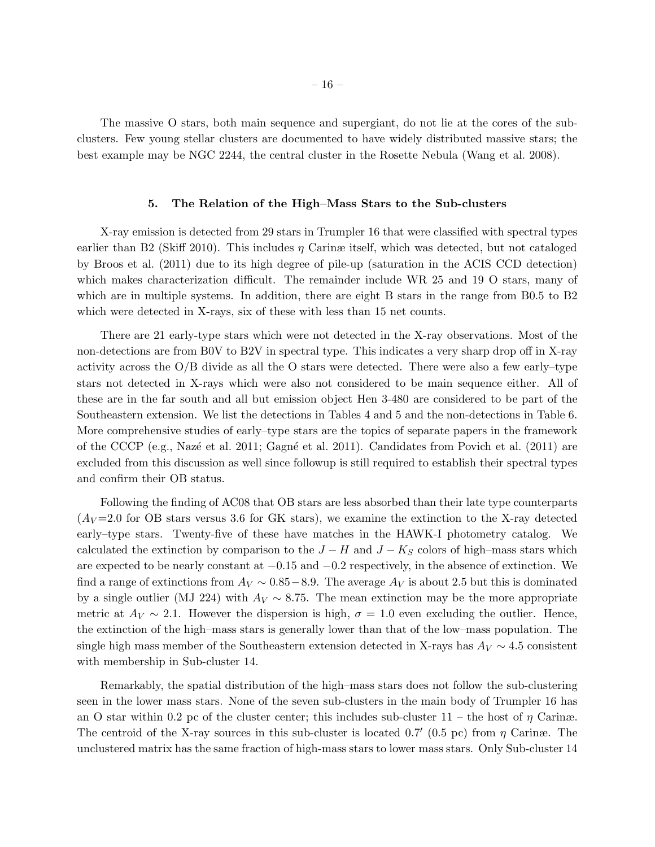The massive O stars, both main sequence and supergiant, do not lie at the cores of the subclusters. Few young stellar clusters are documented to have widely distributed massive stars; the best example may be NGC 2244, the central cluster in the Rosette Nebula (Wang et al. 2008).

## 5. The Relation of the High–Mass Stars to the Sub-clusters

X-ray emission is detected from 29 stars in Trumpler 16 that were classified with spectral types earlier than B2 (Skiff 2010). This includes  $\eta$  Carinæ itself, which was detected, but not cataloged by Broos et al. (2011) due to its high degree of pile-up (saturation in the ACIS CCD detection) which makes characterization difficult. The remainder include WR 25 and 19 O stars, many of which are in multiple systems. In addition, there are eight B stars in the range from B0.5 to B2 which were detected in X-rays, six of these with less than 15 net counts.

There are 21 early-type stars which were not detected in the X-ray observations. Most of the non-detections are from B0V to B2V in spectral type. This indicates a very sharp drop off in X-ray activity across the O/B divide as all the O stars were detected. There were also a few early–type stars not detected in X-rays which were also not considered to be main sequence either. All of these are in the far south and all but emission object Hen 3-480 are considered to be part of the Southeastern extension. We list the detections in Tables 4 and 5 and the non-detections in Table 6. More comprehensive studies of early–type stars are the topics of separate papers in the framework of the CCCP (e.g., Nazé et al. 2011; Gagné et al. 2011). Candidates from Povich et al.  $(2011)$  are excluded from this discussion as well since followup is still required to establish their spectral types and confirm their OB status.

Following the finding of AC08 that OB stars are less absorbed than their late type counterparts  $(A_V=2.0$  for OB stars versus 3.6 for GK stars), we examine the extinction to the X-ray detected early–type stars. Twenty-five of these have matches in the HAWK-I photometry catalog. We calculated the extinction by comparison to the  $J-H$  and  $J-K_S$  colors of high–mass stars which are expected to be nearly constant at −0.15 and −0.2 respectively, in the absence of extinction. We find a range of extinctions from  $A_V \sim 0.85-8.9$ . The average  $A_V$  is about 2.5 but this is dominated by a single outlier (MJ 224) with  $A_V \sim 8.75$ . The mean extinction may be the more appropriate metric at  $A_V \sim 2.1$ . However the dispersion is high,  $\sigma = 1.0$  even excluding the outlier. Hence, the extinction of the high–mass stars is generally lower than that of the low–mass population. The single high mass member of the Southeastern extension detected in X-rays has  $A_V \sim 4.5$  consistent with membership in Sub-cluster 14.

Remarkably, the spatial distribution of the high–mass stars does not follow the sub-clustering seen in the lower mass stars. None of the seven sub-clusters in the main body of Trumpler 16 has an O star within 0.2 pc of the cluster center; this includes sub-cluster  $11$  – the host of  $\eta$  Carinæ. The centroid of the X-ray sources in this sub-cluster is located 0.7' (0.5 pc) from  $\eta$  Carinæ. The unclustered matrix has the same fraction of high-mass stars to lower mass stars. Only Sub-cluster 14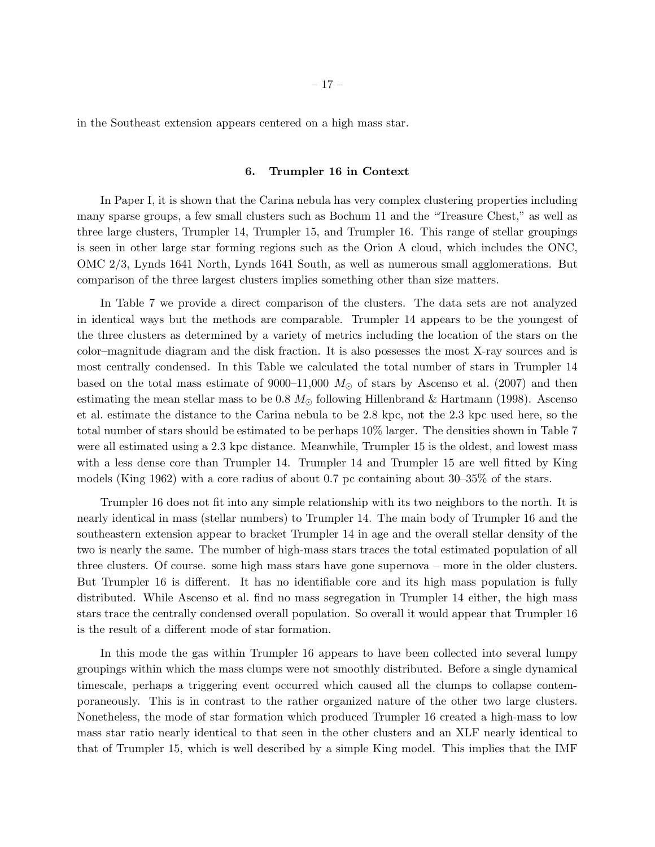in the Southeast extension appears centered on a high mass star.

## 6. Trumpler 16 in Context

In Paper I, it is shown that the Carina nebula has very complex clustering properties including many sparse groups, a few small clusters such as Bochum 11 and the "Treasure Chest," as well as three large clusters, Trumpler 14, Trumpler 15, and Trumpler 16. This range of stellar groupings is seen in other large star forming regions such as the Orion A cloud, which includes the ONC, OMC 2/3, Lynds 1641 North, Lynds 1641 South, as well as numerous small agglomerations. But comparison of the three largest clusters implies something other than size matters.

In Table 7 we provide a direct comparison of the clusters. The data sets are not analyzed in identical ways but the methods are comparable. Trumpler 14 appears to be the youngest of the three clusters as determined by a variety of metrics including the location of the stars on the color–magnitude diagram and the disk fraction. It is also possesses the most X-ray sources and is most centrally condensed. In this Table we calculated the total number of stars in Trumpler 14 based on the total mass estimate of 9000–11,000  $M_{\odot}$  of stars by Ascenso et al. (2007) and then estimating the mean stellar mass to be 0.8  $M_{\odot}$  following Hillenbrand & Hartmann (1998). Ascenso et al. estimate the distance to the Carina nebula to be 2.8 kpc, not the 2.3 kpc used here, so the total number of stars should be estimated to be perhaps 10% larger. The densities shown in Table 7 were all estimated using a 2.3 kpc distance. Meanwhile, Trumpler 15 is the oldest, and lowest mass with a less dense core than Trumpler 14. Trumpler 14 and Trumpler 15 are well fitted by King models (King 1962) with a core radius of about 0.7 pc containing about 30–35% of the stars.

Trumpler 16 does not fit into any simple relationship with its two neighbors to the north. It is nearly identical in mass (stellar numbers) to Trumpler 14. The main body of Trumpler 16 and the southeastern extension appear to bracket Trumpler 14 in age and the overall stellar density of the two is nearly the same. The number of high-mass stars traces the total estimated population of all three clusters. Of course. some high mass stars have gone supernova – more in the older clusters. But Trumpler 16 is different. It has no identifiable core and its high mass population is fully distributed. While Ascenso et al. find no mass segregation in Trumpler 14 either, the high mass stars trace the centrally condensed overall population. So overall it would appear that Trumpler 16 is the result of a different mode of star formation.

In this mode the gas within Trumpler 16 appears to have been collected into several lumpy groupings within which the mass clumps were not smoothly distributed. Before a single dynamical timescale, perhaps a triggering event occurred which caused all the clumps to collapse contemporaneously. This is in contrast to the rather organized nature of the other two large clusters. Nonetheless, the mode of star formation which produced Trumpler 16 created a high-mass to low mass star ratio nearly identical to that seen in the other clusters and an XLF nearly identical to that of Trumpler 15, which is well described by a simple King model. This implies that the IMF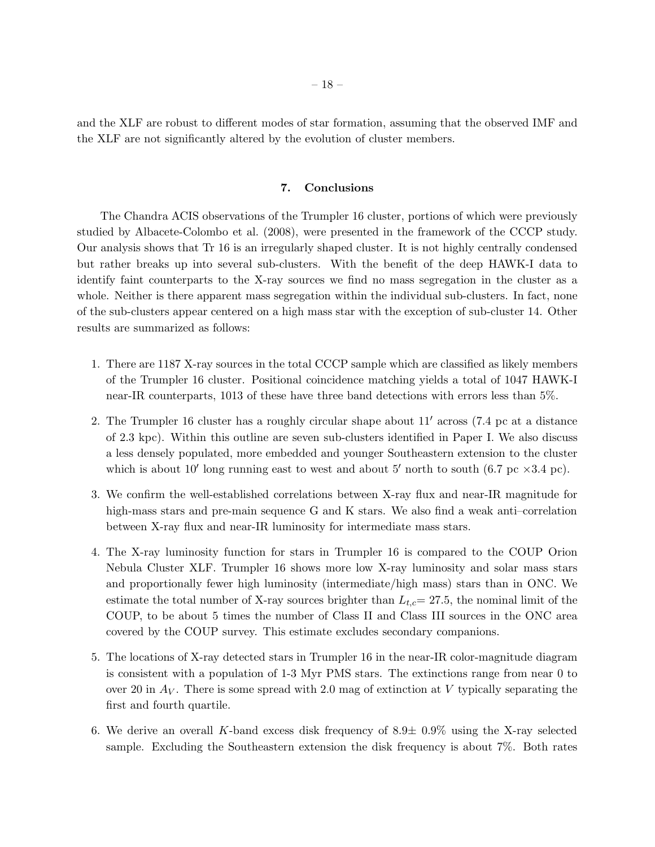and the XLF are robust to different modes of star formation, assuming that the observed IMF and the XLF are not significantly altered by the evolution of cluster members.

# 7. Conclusions

The Chandra ACIS observations of the Trumpler 16 cluster, portions of which were previously studied by Albacete-Colombo et al. (2008), were presented in the framework of the CCCP study. Our analysis shows that Tr 16 is an irregularly shaped cluster. It is not highly centrally condensed but rather breaks up into several sub-clusters. With the benefit of the deep HAWK-I data to identify faint counterparts to the X-ray sources we find no mass segregation in the cluster as a whole. Neither is there apparent mass segregation within the individual sub-clusters. In fact, none of the sub-clusters appear centered on a high mass star with the exception of sub-cluster 14. Other results are summarized as follows:

- 1. There are 1187 X-ray sources in the total CCCP sample which are classified as likely members of the Trumpler 16 cluster. Positional coincidence matching yields a total of 1047 HAWK-I near-IR counterparts, 1013 of these have three band detections with errors less than 5%.
- 2. The Trumpler 16 cluster has a roughly circular shape about 11′ across (7.4 pc at a distance of 2.3 kpc). Within this outline are seven sub-clusters identified in Paper I. We also discuss a less densely populated, more embedded and younger Southeastern extension to the cluster which is about 10' long running east to west and about 5' north to south  $(6.7 \text{ pc} \times 3.4 \text{ pc})$ .
- 3. We confirm the well-established correlations between X-ray flux and near-IR magnitude for high-mass stars and pre-main sequence G and K stars. We also find a weak anti-correlation between X-ray flux and near-IR luminosity for intermediate mass stars.
- 4. The X-ray luminosity function for stars in Trumpler 16 is compared to the COUP Orion Nebula Cluster XLF. Trumpler 16 shows more low X-ray luminosity and solar mass stars and proportionally fewer high luminosity (intermediate/high mass) stars than in ONC. We estimate the total number of X-ray sources brighter than  $L_{tc}= 27.5$ , the nominal limit of the COUP, to be about 5 times the number of Class II and Class III sources in the ONC area covered by the COUP survey. This estimate excludes secondary companions.
- 5. The locations of X-ray detected stars in Trumpler 16 in the near-IR color-magnitude diagram is consistent with a population of 1-3 Myr PMS stars. The extinctions range from near 0 to over 20 in  $A_V$ . There is some spread with 2.0 mag of extinction at V typically separating the first and fourth quartile.
- 6. We derive an overall K-band excess disk frequency of  $8.9\pm 0.9\%$  using the X-ray selected sample. Excluding the Southeastern extension the disk frequency is about 7%. Both rates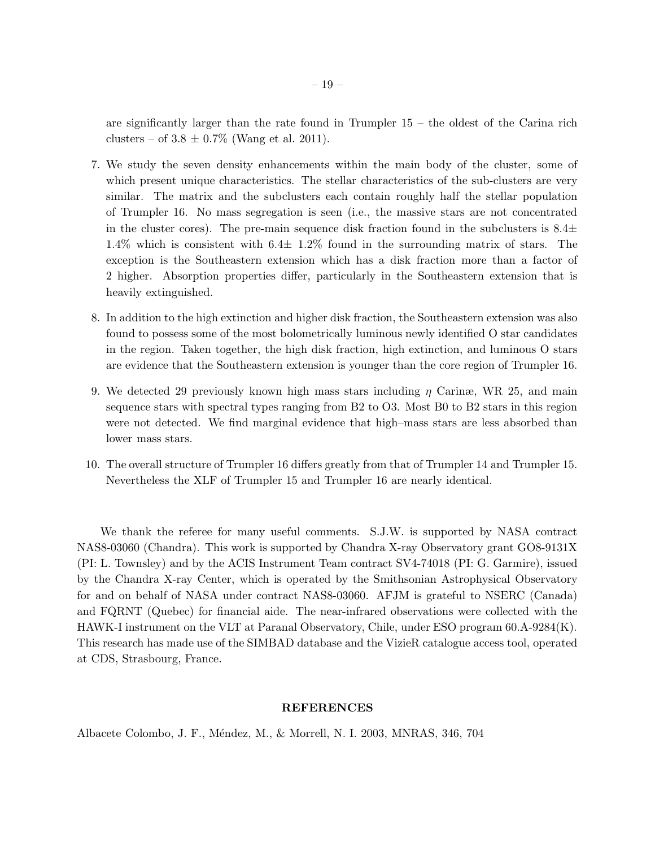are significantly larger than the rate found in Trumpler  $15 -$  the oldest of the Carina rich clusters – of  $3.8 \pm 0.7\%$  (Wang et al. 2011).

- 7. We study the seven density enhancements within the main body of the cluster, some of which present unique characteristics. The stellar characteristics of the sub-clusters are very similar. The matrix and the subclusters each contain roughly half the stellar population of Trumpler 16. No mass segregation is seen (i.e., the massive stars are not concentrated in the cluster cores). The pre-main sequence disk fraction found in the subclusters is  $8.4\pm$ 1.4% which is consistent with 6.4± 1.2% found in the surrounding matrix of stars. The exception is the Southeastern extension which has a disk fraction more than a factor of 2 higher. Absorption properties differ, particularly in the Southeastern extension that is heavily extinguished.
- 8. In addition to the high extinction and higher disk fraction, the Southeastern extension was also found to possess some of the most bolometrically luminous newly identified O star candidates in the region. Taken together, the high disk fraction, high extinction, and luminous O stars are evidence that the Southeastern extension is younger than the core region of Trumpler 16.
- 9. We detected 29 previously known high mass stars including  $\eta$  Carinæ, WR 25, and main sequence stars with spectral types ranging from B2 to O3. Most B0 to B2 stars in this region were not detected. We find marginal evidence that high–mass stars are less absorbed than lower mass stars.
- 10. The overall structure of Trumpler 16 differs greatly from that of Trumpler 14 and Trumpler 15. Nevertheless the XLF of Trumpler 15 and Trumpler 16 are nearly identical.

We thank the referee for many useful comments. S.J.W. is supported by NASA contract NAS8-03060 (Chandra). This work is supported by Chandra X-ray Observatory grant GO8-9131X (PI: L. Townsley) and by the ACIS Instrument Team contract SV4-74018 (PI: G. Garmire), issued by the Chandra X-ray Center, which is operated by the Smithsonian Astrophysical Observatory for and on behalf of NASA under contract NAS8-03060. AFJM is grateful to NSERC (Canada) and FQRNT (Quebec) for financial aide. The near-infrared observations were collected with the HAWK-I instrument on the VLT at Paranal Observatory, Chile, under ESO program 60.A-9284(K). This research has made use of the SIMBAD database and the VizieR catalogue access tool, operated at CDS, Strasbourg, France.

# REFERENCES

Albacete Colombo, J. F., M´endez, M., & Morrell, N. I. 2003, MNRAS, 346, 704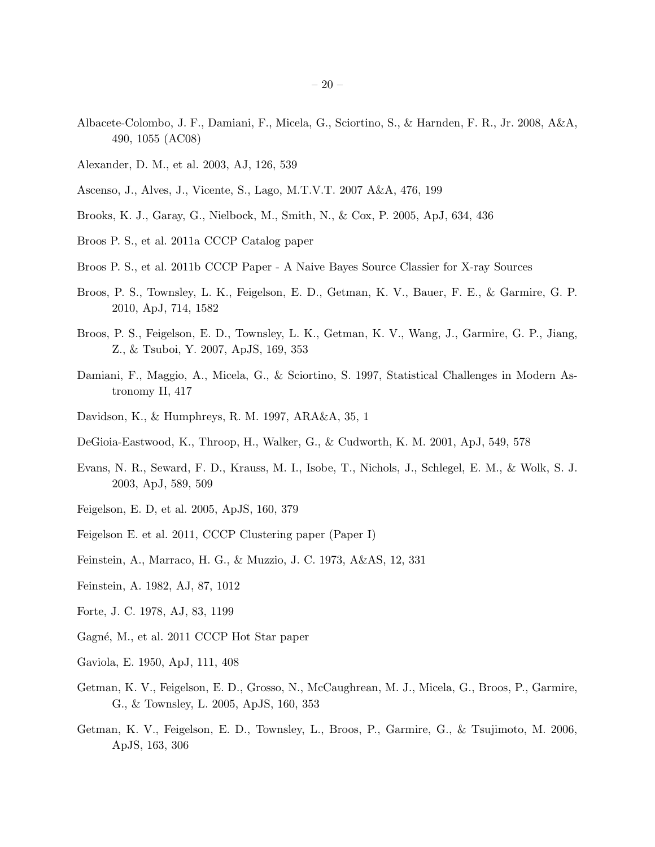- Albacete-Colombo, J. F., Damiani, F., Micela, G., Sciortino, S., & Harnden, F. R., Jr. 2008, A&A, 490, 1055 (AC08)
- Alexander, D. M., et al. 2003, AJ, 126, 539
- Ascenso, J., Alves, J., Vicente, S., Lago, M.T.V.T. 2007 A&A, 476, 199
- Brooks, K. J., Garay, G., Nielbock, M., Smith, N., & Cox, P. 2005, ApJ, 634, 436
- Broos P. S., et al. 2011a CCCP Catalog paper
- Broos P. S., et al. 2011b CCCP Paper A Naive Bayes Source Classier for X-ray Sources
- Broos, P. S., Townsley, L. K., Feigelson, E. D., Getman, K. V., Bauer, F. E., & Garmire, G. P. 2010, ApJ, 714, 1582
- Broos, P. S., Feigelson, E. D., Townsley, L. K., Getman, K. V., Wang, J., Garmire, G. P., Jiang, Z., & Tsuboi, Y. 2007, ApJS, 169, 353
- Damiani, F., Maggio, A., Micela, G., & Sciortino, S. 1997, Statistical Challenges in Modern Astronomy II, 417
- Davidson, K., & Humphreys, R. M. 1997, ARA&A, 35, 1
- DeGioia-Eastwood, K., Throop, H., Walker, G., & Cudworth, K. M. 2001, ApJ, 549, 578
- Evans, N. R., Seward, F. D., Krauss, M. I., Isobe, T., Nichols, J., Schlegel, E. M., & Wolk, S. J. 2003, ApJ, 589, 509
- Feigelson, E. D, et al. 2005, ApJS, 160, 379
- Feigelson E. et al. 2011, CCCP Clustering paper (Paper I)
- Feinstein, A., Marraco, H. G., & Muzzio, J. C. 1973, A&AS, 12, 331
- Feinstein, A. 1982, AJ, 87, 1012
- Forte, J. C. 1978, AJ, 83, 1199
- Gagné, M., et al. 2011 CCCP Hot Star paper
- Gaviola, E. 1950, ApJ, 111, 408
- Getman, K. V., Feigelson, E. D., Grosso, N., McCaughrean, M. J., Micela, G., Broos, P., Garmire, G., & Townsley, L. 2005, ApJS, 160, 353
- Getman, K. V., Feigelson, E. D., Townsley, L., Broos, P., Garmire, G., & Tsujimoto, M. 2006, ApJS, 163, 306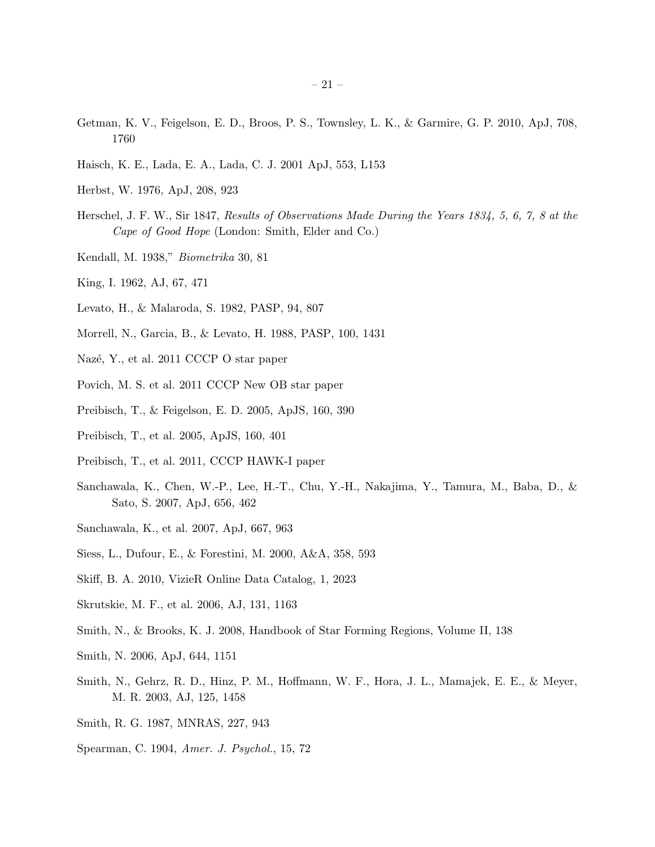- Getman, K. V., Feigelson, E. D., Broos, P. S., Townsley, L. K., & Garmire, G. P. 2010, ApJ, 708, 1760
- Haisch, K. E., Lada, E. A., Lada, C. J. 2001 ApJ, 553, L153
- Herbst, W. 1976, ApJ, 208, 923
- Herschel, J. F. W., Sir 1847, Results of Observations Made During the Years 1834, 5, 6, 7, 8 at the Cape of Good Hope (London: Smith, Elder and Co.)
- Kendall, M. 1938," Biometrika 30, 81
- King, I. 1962, AJ, 67, 471
- Levato, H., & Malaroda, S. 1982, PASP, 94, 807
- Morrell, N., Garcia, B., & Levato, H. 1988, PASP, 100, 1431
- Nazé, Y., et al. 2011 CCCP O star paper
- Povich, M. S. et al. 2011 CCCP New OB star paper
- Preibisch, T., & Feigelson, E. D. 2005, ApJS, 160, 390
- Preibisch, T., et al. 2005, ApJS, 160, 401
- Preibisch, T., et al. 2011, CCCP HAWK-I paper
- Sanchawala, K., Chen, W.-P., Lee, H.-T., Chu, Y.-H., Nakajima, Y., Tamura, M., Baba, D., & Sato, S. 2007, ApJ, 656, 462
- Sanchawala, K., et al. 2007, ApJ, 667, 963
- Siess, L., Dufour, E., & Forestini, M. 2000, A&A, 358, 593
- Skiff, B. A. 2010, VizieR Online Data Catalog, 1, 2023
- Skrutskie, M. F., et al. 2006, AJ, 131, 1163
- Smith, N., & Brooks, K. J. 2008, Handbook of Star Forming Regions, Volume II, 138
- Smith, N. 2006, ApJ, 644, 1151
- Smith, N., Gehrz, R. D., Hinz, P. M., Hoffmann, W. F., Hora, J. L., Mamajek, E. E., & Meyer, M. R. 2003, AJ, 125, 1458
- Smith, R. G. 1987, MNRAS, 227, 943
- Spearman, C. 1904, Amer. J. Psychol., 15, 72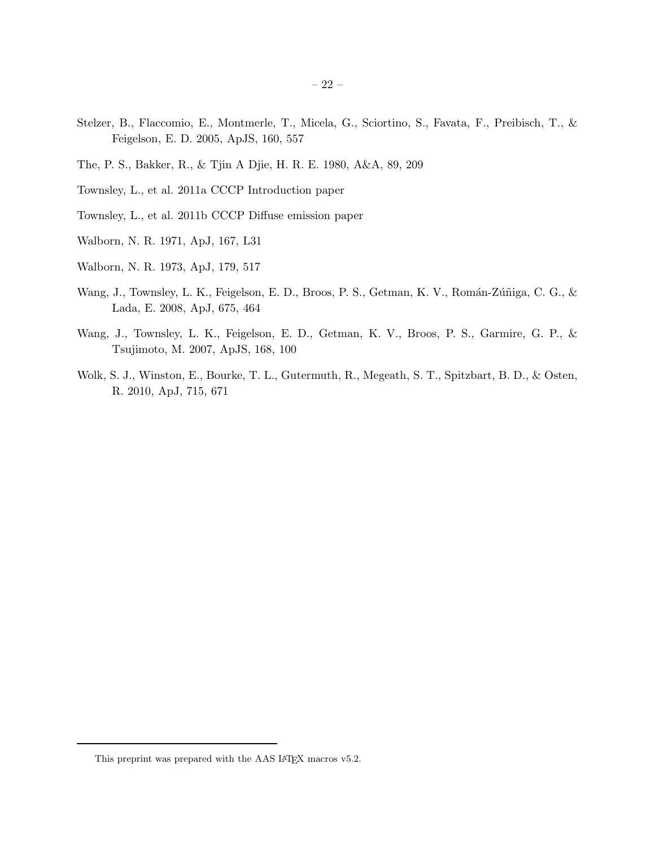- Stelzer, B., Flaccomio, E., Montmerle, T., Micela, G., Sciortino, S., Favata, F., Preibisch, T., & Feigelson, E. D. 2005, ApJS, 160, 557
- The, P. S., Bakker, R., & Tjin A Djie, H. R. E. 1980, A&A, 89, 209
- Townsley, L., et al. 2011a CCCP Introduction paper
- Townsley, L., et al. 2011b CCCP Diffuse emission paper
- Walborn, N. R. 1971, ApJ, 167, L31
- Walborn, N. R. 1973, ApJ, 179, 517
- Wang, J., Townsley, L. K., Feigelson, E. D., Broos, P. S., Getman, K. V., Román-Zúñiga, C. G., & Lada, E. 2008, ApJ, 675, 464
- Wang, J., Townsley, L. K., Feigelson, E. D., Getman, K. V., Broos, P. S., Garmire, G. P., & Tsujimoto, M. 2007, ApJS, 168, 100
- Wolk, S. J., Winston, E., Bourke, T. L., Gutermuth, R., Megeath, S. T., Spitzbart, B. D., & Osten, R. 2010, ApJ, 715, 671

This preprint was prepared with the AAS IATEX macros v5.2.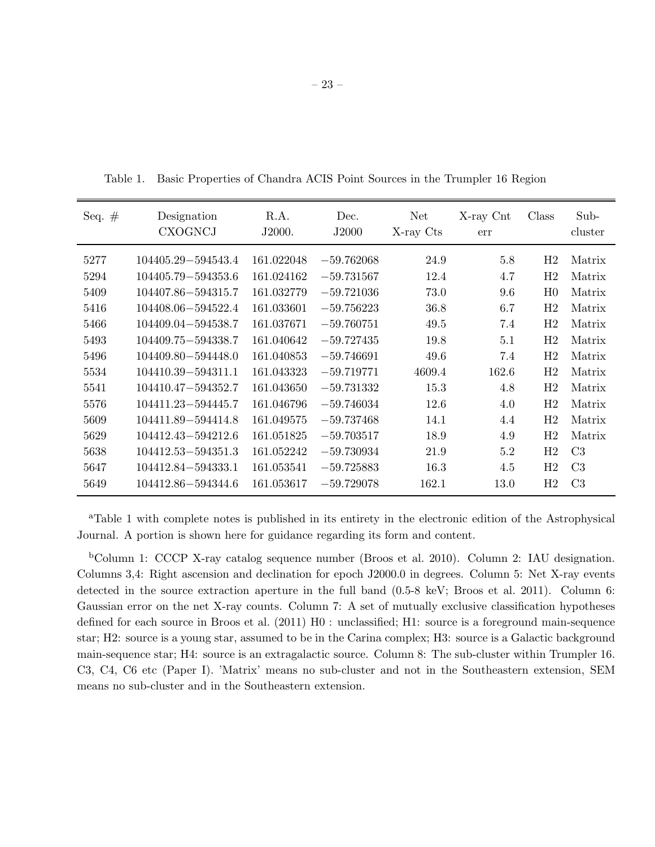|  | Table 1. Basic Properties of Chandra ACIS Point Sources in the Trumpler 16 Region |  |  |  |  |  |  |  |
|--|-----------------------------------------------------------------------------------|--|--|--|--|--|--|--|
|--|-----------------------------------------------------------------------------------|--|--|--|--|--|--|--|

| Seq. $#$ | Designation<br><b>CXOGNCJ</b> | R.A.<br>J2000. | Dec.<br>J2000 | Net<br>X-ray Cts | X-ray Cnt<br>err | Class          | Sub-<br>cluster |
|----------|-------------------------------|----------------|---------------|------------------|------------------|----------------|-----------------|
| 5277     | 104405.29-594543.4            | 161.022048     | $-59.762068$  | 24.9             | 5.8              | H2             | Matrix          |
| 5294     | 104405.79-594353.6            | 161.024162     | $-59.731567$  | 12.4             | 4.7              | H2             | Matrix          |
| 5409     | 104407.86-594315.7            | 161.032779     | $-59.721036$  | 73.0             | 9.6              | H <sub>0</sub> | Matrix          |
| 5416     | 104408.06-594522.4            | 161.033601     | $-59.756223$  | 36.8             | 6.7              | H <sub>2</sub> | Matrix          |
| 5466     | 104409.04-594538.7            | 161.037671     | $-59.760751$  | 49.5             | 7.4              | H <sub>2</sub> | Matrix          |
| 5493     | 104409.75-594338.7            | 161.040642     | $-59.727435$  | 19.8             | 5.1              | H2             | Matrix          |
| 5496     | 104409.80 - 594448.0          | 161.040853     | $-59.746691$  | 49.6             | 7.4              | H2             | Matrix          |
| 5534     | 104410.39-594311.1            | 161.043323     | $-59.719771$  | 4609.4           | 162.6            | H <sub>2</sub> | Matrix          |
| 5541     | 104410.47-594352.7            | 161.043650     | $-59.731332$  | 15.3             | 4.8              | H2             | Matrix          |
| 5576     | 104411.23–594445.7            | 161.046796     | $-59.746034$  | 12.6             | 4.0              | H2             | Matrix          |
| 5609     | 104411.89-594414.8            | 161.049575     | $-59.737468$  | 14.1             | 4.4              | H2             | Matrix          |
| 5629     | 104412.43-594212.6            | 161.051825     | $-59.703517$  | 18.9             | 4.9              | H2             | Matrix          |
| 5638     | 104412.53-594351.3            | 161.052242     | $-59.730934$  | 21.9             | 5.2              | H2             | C <sub>3</sub>  |
| 5647     | 104412.84-594333.1            | 161.053541     | $-59.725883$  | 16.3             | 4.5              | H2             | C <sub>3</sub>  |
| 5649     | 104412.86-594344.6            | 161.053617     | $-59.729078$  | 162.1            | 13.0             | H2             | C <sub>3</sub>  |

<sup>a</sup>Table 1 with complete notes is published in its entirety in the electronic edition of the Astrophysical Journal. A portion is shown here for guidance regarding its form and content.

<sup>b</sup>Column 1: CCCP X-ray catalog sequence number (Broos et al. 2010). Column 2: IAU designation. Columns 3,4: Right ascension and declination for epoch J2000.0 in degrees. Column 5: Net X-ray events detected in the source extraction aperture in the full band (0.5-8 keV; Broos et al. 2011). Column 6: Gaussian error on the net X-ray counts. Column 7: A set of mutually exclusive classification hypotheses defined for each source in Broos et al. (2011) H0 : unclassified; H1: source is a foreground main-sequence star; H2: source is a young star, assumed to be in the Carina complex; H3: source is a Galactic background main-sequence star; H4: source is an extragalactic source. Column 8: The sub-cluster within Trumpler 16. C3, C4, C6 etc (Paper I). 'Matrix' means no sub-cluster and not in the Southeastern extension, SEM means no sub-cluster and in the Southeastern extension.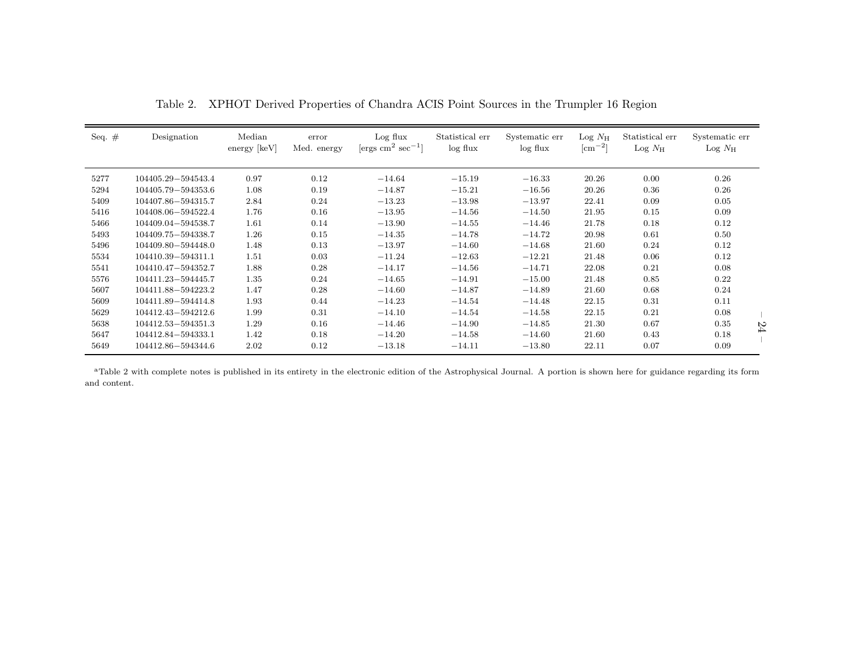| Seq. $#$ | Designation          | Median<br>$\text{energy}$ [keV] | error<br>Med. energy | Log flux<br>$\rm [ergs\ cm^2\ sec^{-1}]$ | Statistical err<br>$log$ flux | Systematic err<br>$log$ flux | $\text{Log } N_{\text{H}}$<br>$\rm[cm^{-2}]$ | Statistical err<br>$\text{Log } N_{\text{H}}$ | Systematic err<br>$\text{Log } N_{\text{H}}$ |
|----------|----------------------|---------------------------------|----------------------|------------------------------------------|-------------------------------|------------------------------|----------------------------------------------|-----------------------------------------------|----------------------------------------------|
|          |                      |                                 |                      |                                          |                               |                              |                                              |                                               |                                              |
| 5277     | 104405.29-594543.4   | 0.97                            | 0.12                 | $-14.64$                                 | $-15.19$                      | $-16.33$                     | 20.26                                        | 0.00                                          | 0.26                                         |
| 5294     | 104405.79-594353.6   | 1.08                            | 0.19                 | $-14.87$                                 | $-15.21$                      | $-16.56$                     | 20.26                                        | 0.36                                          | 0.26                                         |
| 5409     | 104407.86-594315.7   | 2.84                            | 0.24                 | $-13.23$                                 | $-13.98$                      | $-13.97$                     | 22.41                                        | 0.09                                          | 0.05                                         |
| 5416     | 104408.06-594522.4   | 1.76                            | 0.16                 | $-13.95$                                 | $-14.56$                      | $-14.50$                     | 21.95                                        | 0.15                                          | 0.09                                         |
| 5466     | 104409.04-594538.7   | 1.61                            | 0.14                 | $-13.90$                                 | $-14.55$                      | $-14.46$                     | 21.78                                        | 0.18                                          | 0.12                                         |
| 5493     | 104409.75-594338.7   | 1.26                            | 0.15                 | $-14.35$                                 | $-14.78$                      | $-14.72$                     | 20.98                                        | 0.61                                          | 0.50                                         |
| 5496     | 104409.80 - 594448.0 | 1.48                            | 0.13                 | $-13.97$                                 | $-14.60$                      | $-14.68$                     | 21.60                                        | 0.24                                          | 0.12                                         |
| 5534     | 104410.39-594311.1   | 1.51                            | 0.03                 | $-11.24$                                 | $-12.63$                      | $-12.21$                     | 21.48                                        | 0.06                                          | 0.12                                         |
| 5541     | 104410.47-594352.7   | 1.88                            | 0.28                 | $-14.17$                                 | $-14.56$                      | $-14.71$                     | 22.08                                        | 0.21                                          | 0.08                                         |
| 5576     | 104411.23-594445.7   | 1.35                            | 0.24                 | $-14.65$                                 | $-14.91$                      | $-15.00$                     | 21.48                                        | 0.85                                          | 0.22                                         |
| 5607     | 104411.88-594223.2   | 1.47                            | 0.28                 | $-14.60$                                 | $-14.87$                      | $-14.89$                     | 21.60                                        | 0.68                                          | 0.24                                         |
| 5609     | 104411.89-594414.8   | 1.93                            | 0.44                 | $-14.23$                                 | $-14.54$                      | $-14.48$                     | 22.15                                        | 0.31                                          | 0.11                                         |
| 5629     | 104412.43-594212.6   | 1.99                            | 0.31                 | $-14.10$                                 | $-14.54$                      | $-14.58$                     | 22.15                                        | 0.21                                          | 0.08                                         |
| 5638     | 104412.53-594351.3   | 1.29                            | 0.16                 | $-14.46$                                 | $-14.90$                      | $-14.85$                     | 21.30                                        | 0.67                                          | 0.35<br>54                                   |
| 5647     | 104412.84-594333.1   | 1.42                            | 0.18                 | $-14.20$                                 | $-14.58$                      | $-14.60$                     | 21.60                                        | 0.43                                          | 0.18                                         |
| 5649     | 104412.86-594344.6   | 2.02                            | 0.12                 | $-13.18$                                 | $-14.11$                      | $-13.80$                     | 22.11                                        | 0.07                                          | 0.09                                         |

Table 2. XPHOT Derived Properties of Chandra ACIS Point Sources in the Trumpler <sup>16</sup> Region

<sup>a</sup>Table 2 with complete notes is published in its entirety in the electronic edition of the Astrophysical Journal. A portion is shown here for guidance regarding its form and content.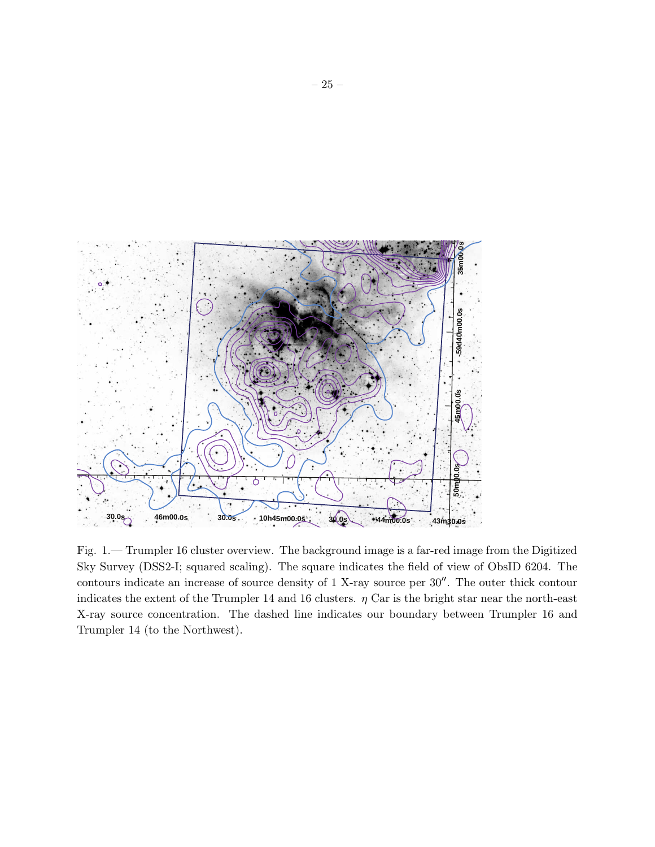

Fig. 1.— Trumpler 16 cluster overview. The background image is a far-red image from the Digitized Sky Survey (DSS2-I; squared scaling). The square indicates the field of view of ObsID 6204. The contours indicate an increase of source density of 1 X-ray source per 30′′. The outer thick contour indicates the extent of the Trumpler 14 and 16 clusters.  $\eta$  Car is the bright star near the north-east X-ray source concentration. The dashed line indicates our boundary between Trumpler 16 and Trumpler 14 (to the Northwest).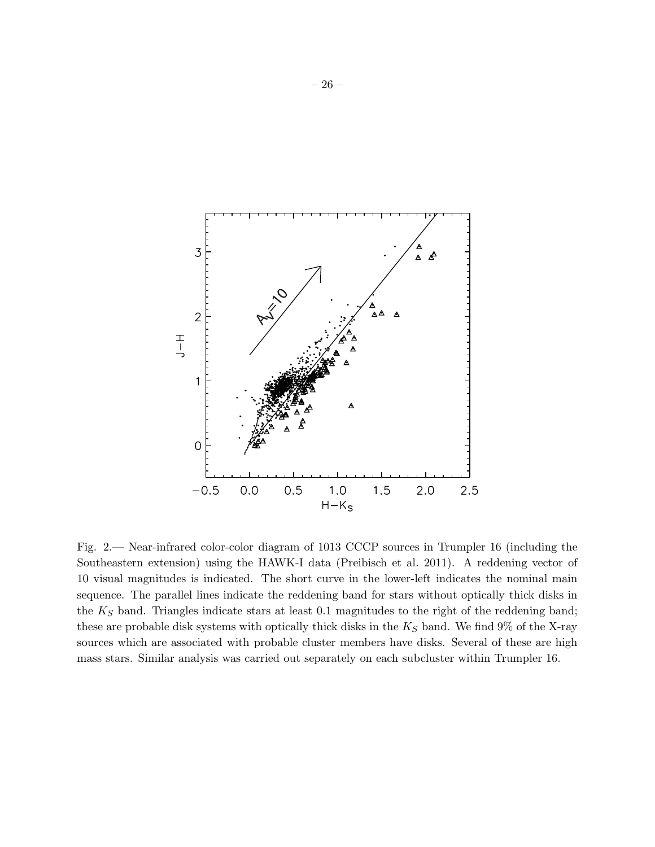

Fig. 2.— Near-infrared color-color diagram of 1013 CCCP sources in Trumpler 16 (including the Southeastern extension) using the HAWK-I data (Preibisch et al. 2011). A reddening vector of 10 visual magnitudes is indicated. The short curve in the lower-left indicates the nominal main sequence. The parallel lines indicate the reddening band for stars without optically thick disks in the  $K_S$  band. Triangles indicate stars at least 0.1 magnitudes to the right of the reddening band; these are probable disk systems with optically thick disks in the  $K_S$  band. We find 9% of the X-ray sources which are associated with probable cluster members have disks. Several of these are high mass stars. Similar analysis was carried out separately on each subcluster within Trumpler 16.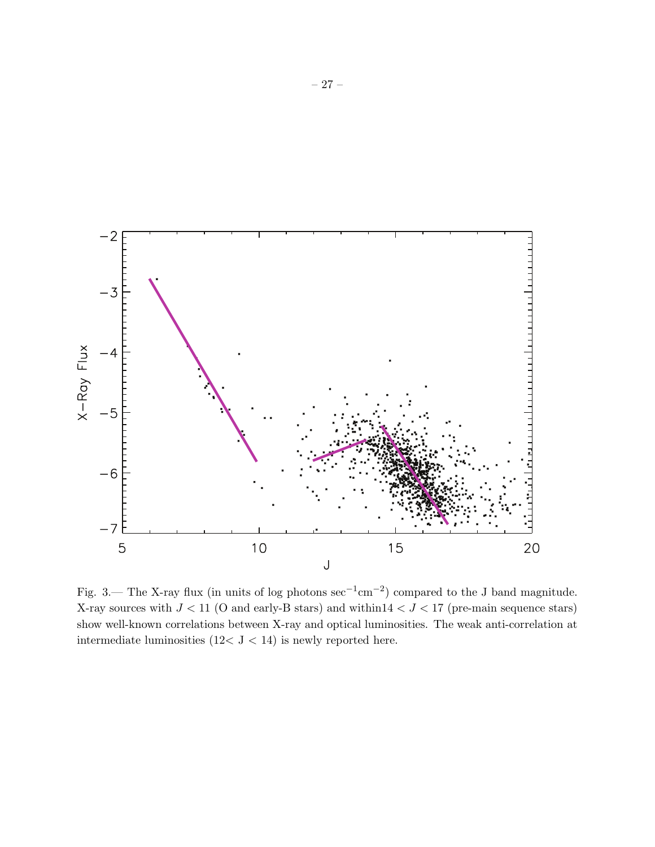

Fig. 3.— The X-ray flux (in units of log photons  $\sec^{-1}$ cm<sup>-2</sup>) compared to the J band magnitude. X-ray sources with  $J < 11$  (O and early-B stars) and within  $14 < J < 17$  (pre-main sequence stars) show well-known correlations between X-ray and optical luminosities. The weak anti-correlation at intermediate luminosities (12< J < 14) is newly reported here.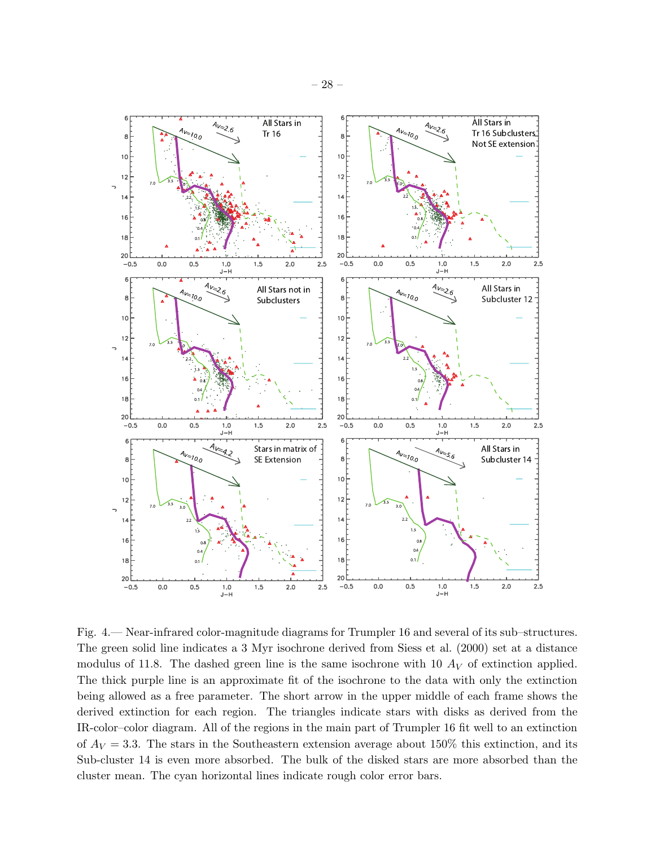

Fig. 4.— Near-infrared color-magnitude diagrams for Trumpler 16 and several of its sub–structures. The green solid line indicates a 3 Myr isochrone derived from Siess et al. (2000) set at a distance modulus of 11.8. The dashed green line is the same isochrone with 10  $A_V$  of extinction applied. The thick purple line is an approximate fit of the isochrone to the data with only the extinction being allowed as a free parameter. The short arrow in the upper middle of each frame shows the derived extinction for each region. The triangles indicate stars with disks as derived from the IR-color–color diagram. All of the regions in the main part of Trumpler 16 fit well to an extinction of  $A_V = 3.3$ . The stars in the Southeastern extension average about 150% this extinction, and its Sub-cluster 14 is even more absorbed. The bulk of the disked stars are more absorbed than the cluster mean. The cyan horizontal lines indicate rough color error bars.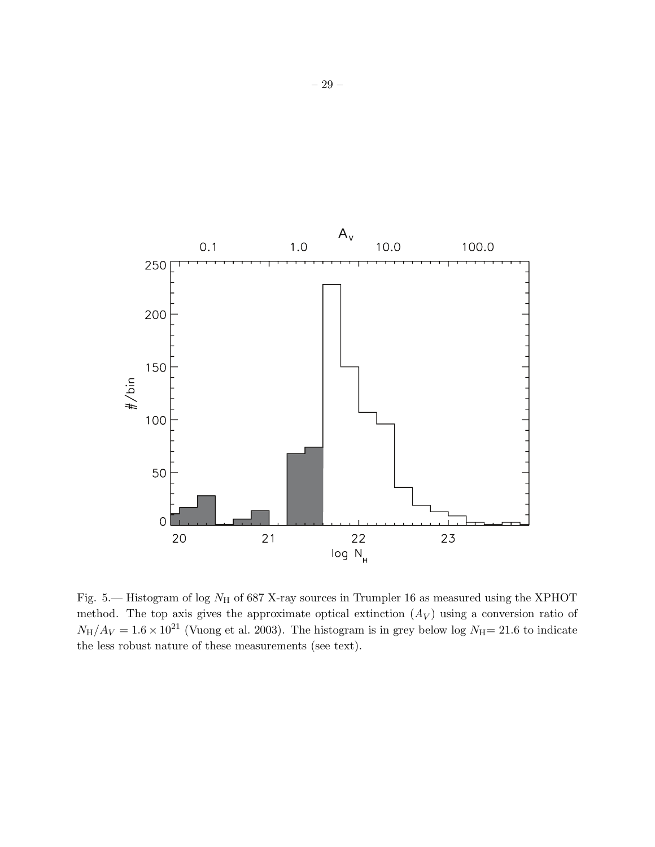

Fig. 5.— Histogram of log  $N_H$  of 687 X-ray sources in Trumpler 16 as measured using the XPHOT method. The top axis gives the approximate optical extinction  $(A_V)$  using a conversion ratio of  $N_{\rm H}/A_V = 1.6 \times 10^{21}$  (Vuong et al. 2003). The histogram is in grey below log  $N_{\rm H}$  = 21.6 to indicate the less robust nature of these measurements (see text).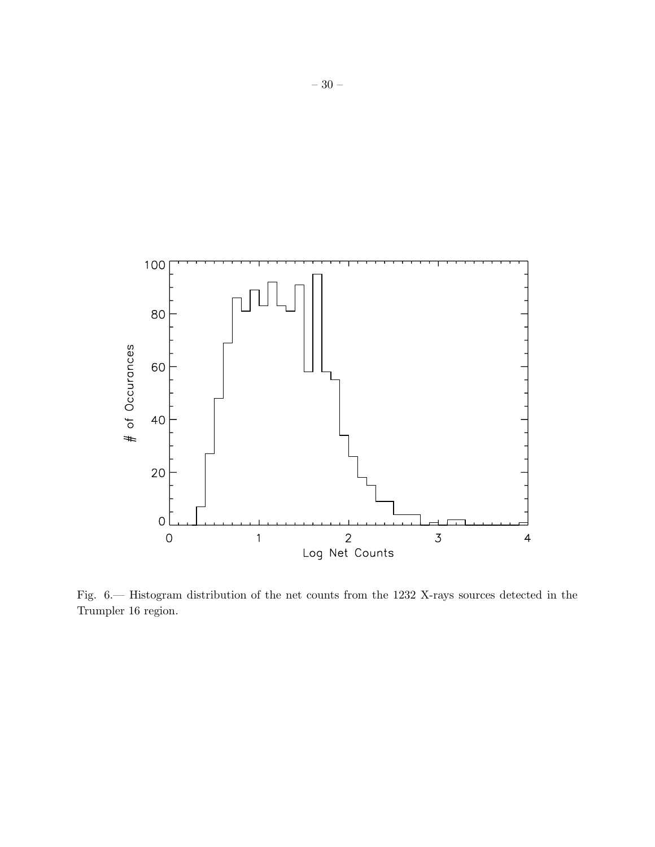

Fig. 6.— Histogram distribution of the net counts from the 1232 X-rays sources detected in the Trumpler 16 region.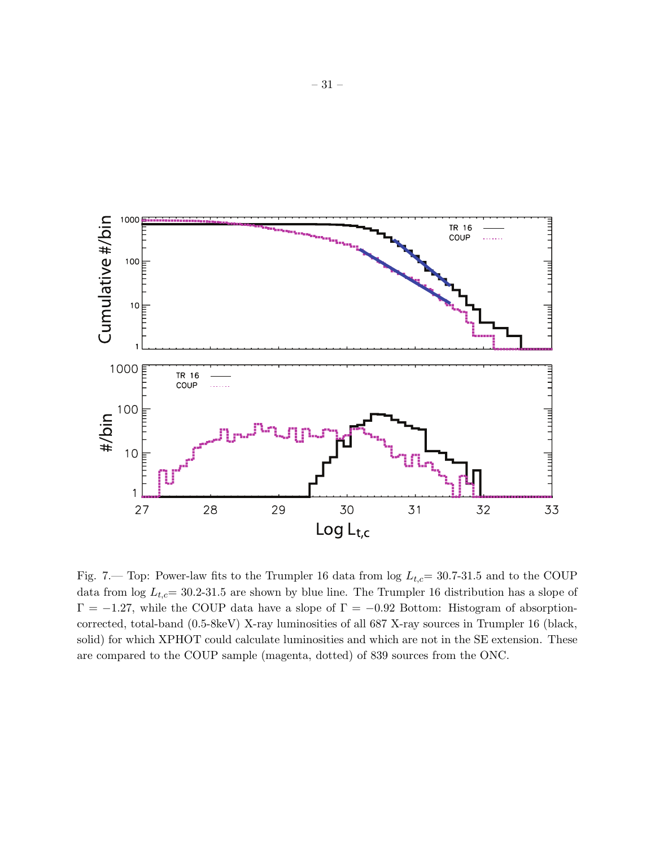

Fig. 7.— Top: Power-law fits to the Trumpler 16 data from  $log L_{t,c}= 30.7-31.5$  and to the COUP data from  $\log L_{t,c}= 30.2$ -31.5 are shown by blue line. The Trumpler 16 distribution has a slope of  $\Gamma = -1.27$ , while the COUP data have a slope of  $\Gamma = -0.92$  Bottom: Histogram of absorptioncorrected, total-band (0.5-8keV) X-ray luminosities of all 687 X-ray sources in Trumpler 16 (black, solid) for which XPHOT could calculate luminosities and which are not in the SE extension. These are compared to the COUP sample (magenta, dotted) of 839 sources from the ONC.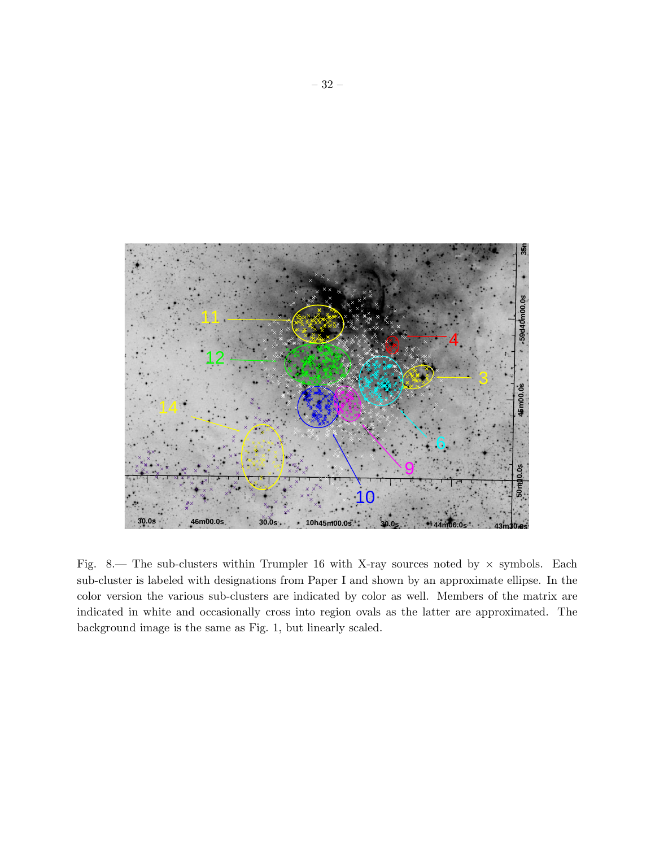

Fig. 8.— The sub-clusters within Trumpler 16 with X-ray sources noted by  $\times$  symbols. Each sub-cluster is labeled with designations from Paper I and shown by an approximate ellipse. In the color version the various sub-clusters are indicated by color as well. Members of the matrix are indicated in white and occasionally cross into region ovals as the latter are approximated. The background image is the same as Fig. 1, but linearly scaled.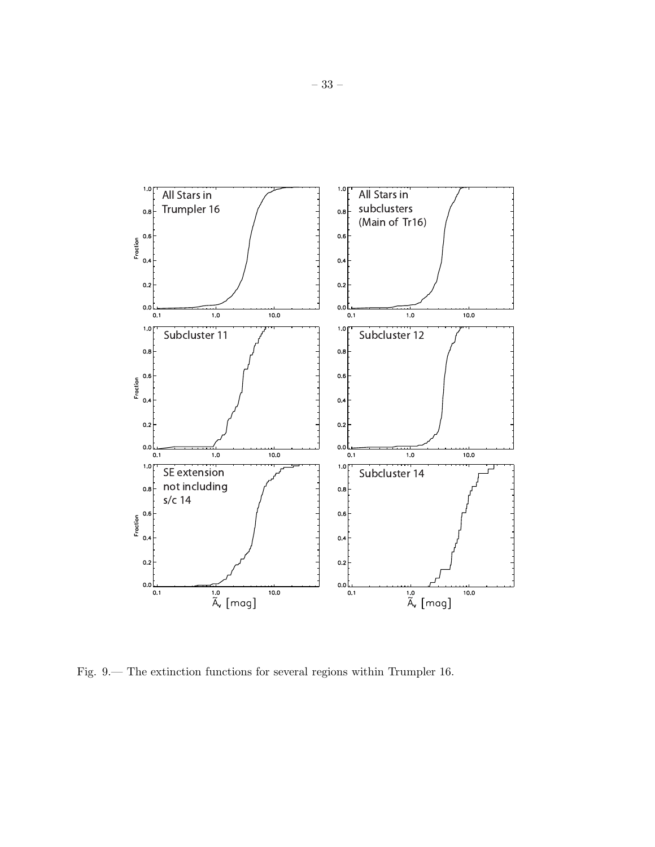

Fig. 9.— The extinction functions for several regions within Trumpler 16.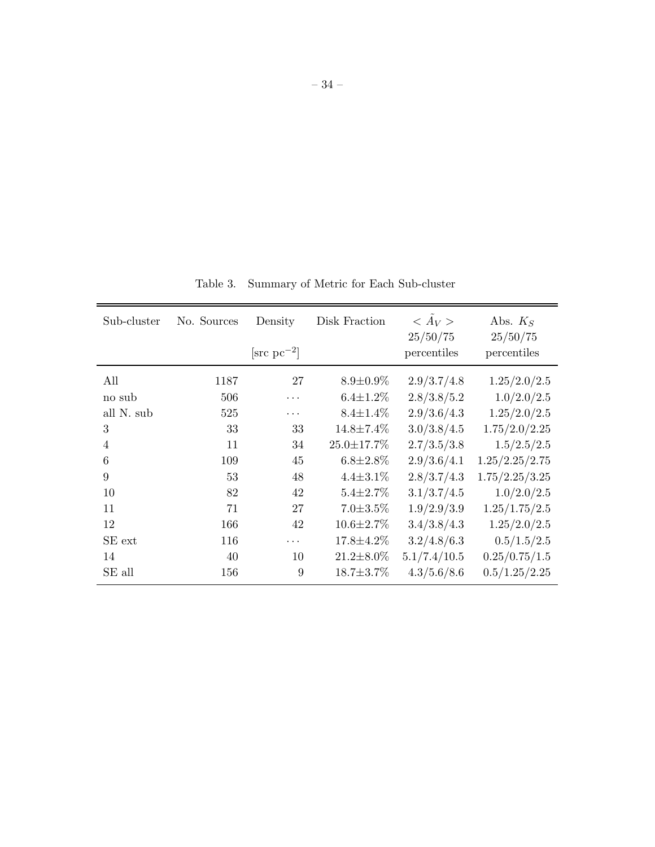| Sub-cluster    | No. Sources | Density                | Disk Fraction     | $\langle \tilde{A}_V \rangle$<br>25/50/75 | Abs. $K_S$<br>25/50/75 |
|----------------|-------------|------------------------|-------------------|-------------------------------------------|------------------------|
|                |             | $[\text{src pc}^{-2}]$ |                   | percentiles                               | percentiles            |
| All            | 1187        | 27                     | $8.9 \pm 0.9\%$   | 2.9/3.7/4.8                               | 1.25/2.0/2.5           |
| no sub         | 506         | .                      | $6.4 \pm 1.2\%$   | 2.8/3.8/5.2                               | 1.0/2.0/2.5            |
| all N. sub     | 525         | $\cdots$               | $8.4 \pm 1.4\%$   | 2.9/3.6/4.3                               | 1.25/2.0/2.5           |
| 3              | 33          | 33                     | $14.8 \pm 7.4\%$  | 3.0/3.8/4.5                               | 1.75/2.0/2.25          |
| $\overline{4}$ | 11          | 34                     | $25.0 \pm 17.7\%$ | 2.7/3.5/3.8                               | 1.5/2.5/2.5            |
| 6              | 109         | 45                     | $6.8 \pm 2.8\%$   | 2.9/3.6/4.1                               | 1.25/2.25/2.75         |
| 9              | 53          | 48                     | $4.4 \pm 3.1\%$   | 2.8/3.7/4.3                               | 1.75/2.25/3.25         |
| 10             | 82          | 42                     | $5.4 \pm 2.7\%$   | 3.1/3.7/4.5                               | 1.0/2.0/2.5            |
| 11             | 71          | 27                     | $7.0 \pm 3.5\%$   | 1.9/2.9/3.9                               | 1.25/1.75/2.5          |
| 12             | 166         | 42                     | $10.6 \pm 2.7\%$  | 3.4/3.8/4.3                               | 1.25/2.0/2.5           |
| SE ext         | 116         | .                      | $17.8 \pm 4.2\%$  | 3.2/4.8/6.3                               | 0.5/1.5/2.5            |
| 14             | 40          | 10                     | $21.2 \pm 8.0\%$  | 5.1/7.4/10.5                              | 0.25/0.75/1.5          |
| SE all         | 156         | 9                      | $18.7 \pm 3.7\%$  | 4.3/5.6/8.6                               | 0.5/1.25/2.25          |

Table 3. Summary of Metric for Each Sub-cluster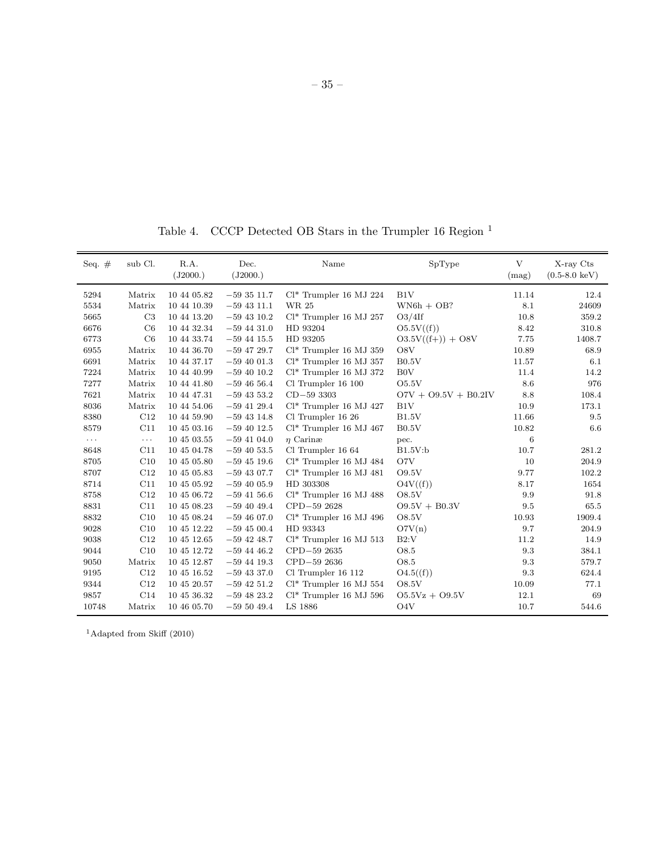Table 4. CCCP Detected OB Stars in the Trumpler 16 Region <sup>1</sup>

| Seq. $#$   | sub Cl.              | R.A.<br>(J2000.) | Dec.<br>(J2000.) | Name                      | SpType                 | V<br>(mag) | X-ray Cts<br>$(0.5-8.0 \text{ keV})$ |
|------------|----------------------|------------------|------------------|---------------------------|------------------------|------------|--------------------------------------|
| 5294       | Matrix               | 10 44 05.82      | $-593511.7$      | $Cl^*$ Trumpler 16 MJ 224 | B1V                    | 11.14      | 12.4                                 |
| 5534       | Matrix               | 10 44 10.39      | $-59$ 43 11.1    | WR 25                     | $WN6h + OB?$           | 8.1        | 24609                                |
| 5665       | C <sub>3</sub>       | 10 44 13.20      | $-59$ 43 10.2    | $Cl^*$ Trumpler 16 MJ 257 | O3/4If                 | 10.8       | 359.2                                |
| 6676       | C6                   | 10 44 32.34      | $-594431.0$      | HD 93204                  | O5.5V(f)               | 8.42       | 310.8                                |
| 6773       | C6                   | 10 44 33.74      | $-59$ 44 15.5    | HD 93205                  | $O3.5V((f+)) + O8V$    | 7.75       | 1408.7                               |
| 6955       | Matrix               | 10 44 36.70      | $-59$ 47 29.7    | $Cl^*$ Trumpler 16 MJ 359 | O8V                    | 10.89      | 68.9                                 |
| 6691       | Matrix               | 10 44 37.17      | $-59$ 40 01.3    | $Cl^*$ Trumpler 16 MJ 357 | B0.5V                  | 11.57      | 6.1                                  |
| 7224       | Matrix               | 10 44 40.99      | $-59$ 40 10.2    | $Cl^*$ Trumpler 16 MJ 372 | B0V                    | 11.4       | 14.2                                 |
| 7277       | Matrix               | 10 44 41.80      | $-594656.4$      | Cl Trumpler 16 100        | O5.5V                  | 8.6        | 976                                  |
| 7621       | Matrix               | 10 44 47.31      | $-59$ 43 53.2    | $CD-59$ 3303              | $O7V + O9.5V + B0.2IV$ | 8.8        | 108.4                                |
| 8036       | Matrix               | 10 44 54.06      | $-59$ 41 29.4    | $Cl^*$ Trumpler 16 MJ 427 | B1V                    | 10.9       | 173.1                                |
| 8380       | C12                  | 10 44 59.90      | $-59$ 43 14.8    | Cl Trumpler 16 26         | B1.5V                  | 11.66      | 9.5                                  |
| 8579       | C11                  | 10 45 03.16      | $-59$ 40 12.5    | $Cl^*$ Trumpler 16 MJ 467 | B0.5V                  | 10.82      | 6.6                                  |
| $\ldots$ . | $\sim$ $\sim$ $\sim$ | 10 45 03.55      | $-59$ 41 04.0    | $\eta$ Carinæ             | pec.                   | 6          |                                      |
| 8648       | C11                  | 10 45 04.78      | $-59$ 40 53.5    | Cl Trumpler 16 64         | B1.5V:b                | 10.7       | 281.2                                |
| 8705       | C10                  | 10 45 05.80      | $-59$ 45 19.6    | $Cl^*$ Trumpler 16 MJ 484 | O7V                    | 10         | 204.9                                |
| 8707       | C12                  | 10 45 05.83      | $-59$ 43 07.7    | $Cl^*$ Trumpler 16 MJ 481 | O9.5V                  | 9.77       | 102.2                                |
| 8714       | C11                  | 10 45 05.92      | $-59$ 40 05.9    | HD 303308                 | O4V(f)                 | 8.17       | 1654                                 |
| 8758       | C12                  | 10 45 06.72      | $-59$ 41 56.6    | $Cl^*$ Trumpler 16 MJ 488 | O8.5V                  | 9.9        | 91.8                                 |
| 8831       | C11                  | 10 45 08.23      | $-59$ 40 49.4    | CPD-59 2628               | $09.5V + B0.3V$        | 9.5        | 65.5                                 |
| 8832       | C10                  | 10 45 08.24      | $-594607.0$      | $Cl^*$ Trumpler 16 MJ 496 | <b>O8.5V</b>           | 10.93      | 1909.4                               |
| 9028       | C10                  | 10 45 12.22      | $-594500.4$      | HD 93343                  | O7V(n)                 | 9.7        | 204.9                                |
| 9038       | C12                  | 10 45 12.65      | $-59$ 42 48.7    | $Cl^*$ Trumpler 16 MJ 513 | B2:V                   | 11.2       | 14.9                                 |
| 9044       | C10                  | 10 45 12.72      | $-59$ 44 46.2    | CPD-59 2635               | O8.5                   | 9.3        | 384.1                                |
| 9050       | Matrix               | 10 45 12.87      | $-59$ 44 19.3    | CPD-59 2636               | O8.5                   | 9.3        | 579.7                                |
| 9195       | C12                  | 10 45 16.52      | $-59$ 43 37.0    | Cl Trumpler 16 112        | O4.5(f)                | 9.3        | 624.4                                |
| 9344       | C12                  | 10 45 20.57      | $-59$ 42 51.2    | $Cl^*$ Trumpler 16 MJ 554 | O8.5V                  | 10.09      | 77.1                                 |
| 9857       | C14                  | 10 45 36.32      | $-59$ 48 23.2    | $Cl^*$ Trumpler 16 MJ 596 | $O5.5Vz + O9.5V$       | 12.1       | 69                                   |
| 10748      | Matrix               | 10 46 05.70      | $-595049.4$      | LS 1886                   | O <sub>4</sub> V       | 10.7       | 544.6                                |

 $^{1}\textnormal{Adapted}$  from Skiff (2010)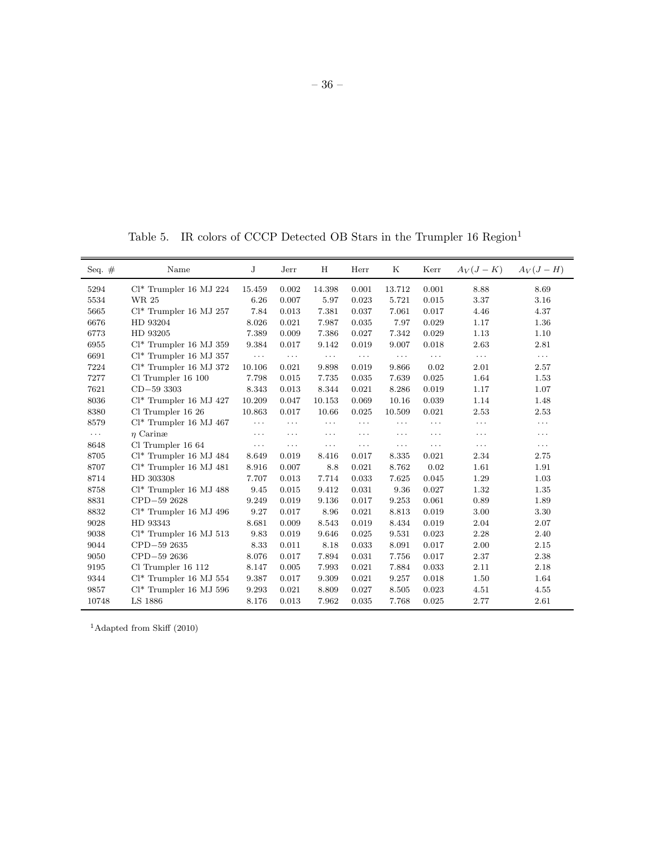Table 5. IR colors of CCCP Detected OB Stars in the Trumpler  $16$   $\rm{Region^1}$ 

| Seq. $#$ | Name                      | J        | Jerr     | H        | $\rm Herr$ | Κ                    | Kerr     | $A_V(J-K)$ | $A_V(J-H)$ |
|----------|---------------------------|----------|----------|----------|------------|----------------------|----------|------------|------------|
| 5294     | $Cl^*$ Trumpler 16 MJ 224 | 15.459   | 0.002    | 14.398   | 0.001      | 13.712               | 0.001    | 8.88       | 8.69       |
| 5534     | WR 25                     | 6.26     | 0.007    | 5.97     | 0.023      | 5.721                | 0.015    | 3.37       | 3.16       |
| 5665     | $Cl^*$ Trumpler 16 MJ 257 | 7.84     | 0.013    | 7.381    | 0.037      | 7.061                | 0.017    | 4.46       | 4.37       |
| 6676     | HD 93204                  | 8.026    | 0.021    | 7.987    | 0.035      | 7.97                 | 0.029    | 1.17       | 1.36       |
| 6773     | HD 93205                  | 7.389    | 0.009    | 7.386    | 0.027      | 7.342                | 0.029    | 1.13       | 1.10       |
| 6955     | $Cl^*$ Trumpler 16 MJ 359 | 9.384    | 0.017    | 9.142    | 0.019      | 9.007                | 0.018    | 2.63       | 2.81       |
| 6691     | $Cl^*$ Trumpler 16 MJ 357 | $\ldots$ | $\cdots$ | $\ldots$ | $\cdots$   | $\sim$ $\sim$ $\sim$ | $\cdots$ | $\cdots$   | $\cdots$   |
| 7224     | $Cl^*$ Trumpler 16 MJ 372 | 10.106   | 0.021    | 9.898    | 0.019      | 9.866                | 0.02     | 2.01       | 2.57       |
| 7277     | Cl Trumpler 16 100        | 7.798    | 0.015    | 7.735    | 0.035      | 7.639                | 0.025    | 1.64       | 1.53       |
| 7621     | $CD - 593303$             | 8.343    | 0.013    | 8.344    | 0.021      | 8.286                | 0.019    | 1.17       | 1.07       |
| 8036     | $Cl^*$ Trumpler 16 MJ 427 | 10.209   | 0.047    | 10.153   | 0.069      | 10.16                | 0.039    | 1.14       | 1.48       |
| 8380     | Cl Trumpler 16 26         | 10.863   | 0.017    | 10.66    | 0.025      | 10.509               | 0.021    | 2.53       | 2.53       |
| 8579     | $Cl^*$ Trumpler 16 MJ 467 | $\cdots$ | $\cdots$ | $\cdots$ | $\cdots$   | $\cdots$             | $\cdots$ | $\cdots$   | $\cdots$   |
| $\cdots$ | $\eta$ Carinae            | $\ldots$ | $\cdots$ | $\cdots$ | $\cdots$   | $\cdots$             | $\cdots$ | $\cdots$   | $\cdots$   |
| 8648     | Cl Trumpler 16 64         | $\ldots$ | $\cdots$ | $\cdots$ | $\cdots$   | $\cdots$             | $\cdots$ | $\cdots$   | $\cdots$   |
| 8705     | $Cl^*$ Trumpler 16 MJ 484 | 8.649    | 0.019    | 8.416    | 0.017      | 8.335                | 0.021    | 2.34       | 2.75       |
| 8707     | $Cl^*$ Trumpler 16 MJ 481 | 8.916    | 0.007    | 8.8      | 0.021      | 8.762                | 0.02     | 1.61       | 1.91       |
| 8714     | HD 303308                 | 7.707    | 0.013    | 7.714    | 0.033      | 7.625                | 0.045    | 1.29       | 1.03       |
| 8758     | $Cl^*$ Trumpler 16 MJ 488 | 9.45     | 0.015    | 9.412    | 0.031      | 9.36                 | 0.027    | 1.32       | 1.35       |
| 8831     | CPD-59 2628               | 9.249    | 0.019    | 9.136    | 0.017      | 9.253                | 0.061    | 0.89       | 1.89       |
| 8832     | $Cl^*$ Trumpler 16 MJ 496 | 9.27     | 0.017    | 8.96     | 0.021      | 8.813                | 0.019    | 3.00       | 3.30       |
| 9028     | HD 93343                  | 8.681    | 0.009    | 8.543    | 0.019      | 8.434                | 0.019    | 2.04       | 2.07       |
| 9038     | $Cl^*$ Trumpler 16 MJ 513 | 9.83     | 0.019    | 9.646    | 0.025      | 9.531                | 0.023    | 2.28       | 2.40       |
| 9044     | CPD-59 2635               | 8.33     | 0.011    | 8.18     | 0.033      | 8.091                | 0.017    | 2.00       | 2.15       |
| 9050     | CPD-59 2636               | 8.076    | 0.017    | 7.894    | 0.031      | 7.756                | 0.017    | 2.37       | 2.38       |
| 9195     | Cl Trumpler 16 112        | 8.147    | 0.005    | 7.993    | 0.021      | 7.884                | 0.033    | 2.11       | 2.18       |
| 9344     | $Cl^*$ Trumpler 16 MJ 554 | 9.387    | 0.017    | 9.309    | 0.021      | 9.257                | 0.018    | 1.50       | 1.64       |
| 9857     | $Cl^*$ Trumpler 16 MJ 596 | 9.293    | 0.021    | 8.809    | 0.027      | 8.505                | 0.023    | 4.51       | 4.55       |
| 10748    | LS 1886                   | 8.176    | 0.013    | 7.962    | 0.035      | 7.768                | 0.025    | 2.77       | 2.61       |

 $^{1}$  Adapted from Skiff (2010)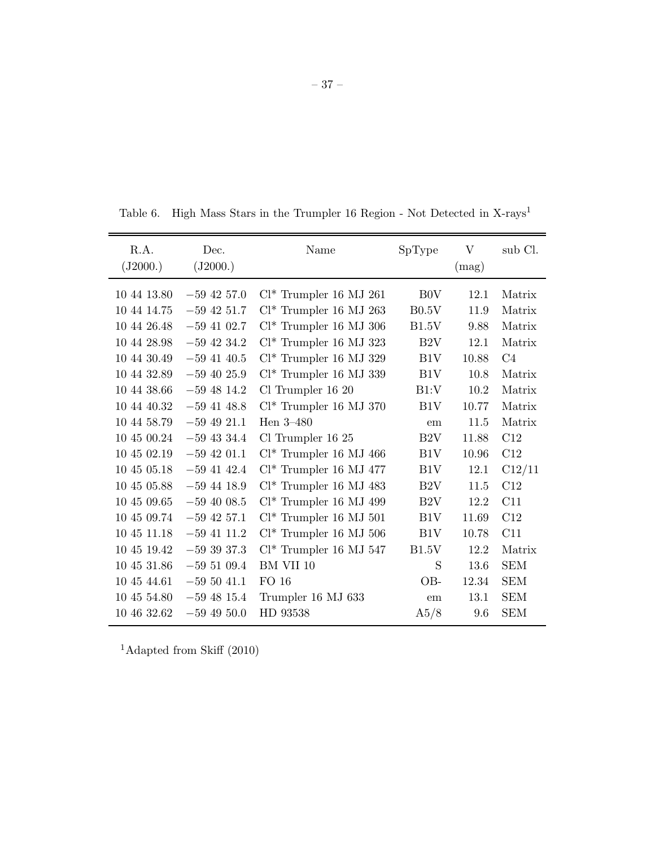| R.A.<br>(J2000.) | Dec.<br>(J2000.) | Name                      | SpType           | V<br>(mag) | sub Cl.    |
|------------------|------------------|---------------------------|------------------|------------|------------|
| 10 44 13.80      | $-59$ 42 57.0    | $Cl^*$ Trumpler 16 MJ 261 | B <sub>0</sub> V | 12.1       | Matrix     |
| 10 44 14.75      | $-59$ 42 51.7    | $Cl^*$ Trumpler 16 MJ 263 | B0.5V            | 11.9       | Matrix     |
| 10 44 26.48      | $-59$ 41 02.7    | $Cl^*$ Trumpler 16 MJ 306 | B1.5V            | 9.88       | Matrix     |
| 10 44 28.98      | $-59$ 42 34.2    | $Cl^*$ Trumpler 16 MJ 323 | B <sub>2</sub> V | 12.1       | Matrix     |
| 10 44 30.49      | $-59$ 41 40.5    | $Cl^*$ Trumpler 16 MJ 329 | B1V              | 10.88      | C4         |
| 10 44 32.89      | $-59$ 40 25.9    | $Cl^*$ Trumpler 16 MJ 339 | B1V              | 10.8       | Matrix     |
| 10 44 38.66      | $-59$ 48 14.2    | Cl Trumpler 16 20         | B1:V             | 10.2       | Matrix     |
| 10 44 40.32      | $-59$ 41 48.8    | $Cl^*$ Trumpler 16 MJ 370 | B1V              | 10.77      | Matrix     |
| 10 44 58.79      | $-59$ 49 21.1    | Hen $3-480$               | em               | 11.5       | Matrix     |
| 10 45 00.24      | $-59$ 43 34.4    | $Cl$ Trumpler 16 25       | B2V              | 11.88      | C12        |
| 10 45 02.19      | $-59$ 42 01.1    | $Cl^*$ Trumpler 16 MJ 466 | B1V              | 10.96      | C12        |
| 10 45 05.18      | $-59$ 41 42.4    | $Cl^*$ Trumpler 16 MJ 477 | B1V              | 12.1       | C12/11     |
| 10 45 05.88      | $-59$ 44 18.9    | $Cl^*$ Trumpler 16 MJ 483 | B <sub>2</sub> V | 11.5       | C12        |
| 10 45 09.65      | $-59,40,08.5$    | $Cl^*$ Trumpler 16 MJ 499 | B2V              | 12.2       | C11        |
| 10 45 09.74      | $-59$ 42 57.1    | $Cl^*$ Trumpler 16 MJ 501 | B1V              | 11.69      | C12        |
| 10 45 11.18      | $-59$ 41 11.2    | $Cl^*$ Trumpler 16 MJ 506 | B1V              | 10.78      | C11        |
| 10 45 19.42      | $-593937.3$      | $Cl^*$ Trumpler 16 MJ 547 | B1.5V            | 12.2       | Matrix     |
| 10 45 31.86      | $-59\ 51\ 09.4$  | BM VII 10                 | S                | 13.6       | <b>SEM</b> |
| 10 45 44.61      | $-595041.1$      | FO 16                     | OB-              | 12.34      | <b>SEM</b> |
| 10 45 54.80      | $-59$ 48 15.4    | Trumpler 16 MJ 633        | em               | 13.1       | <b>SEM</b> |
| 10 46 32.62      | $-594950.0$      | HD 93538                  | A5/8             | 9.6        | <b>SEM</b> |

Table 6. High Mass Stars in the Trumpler 16 Region - Not Detected in  $\bold{X}\text{-}\bold{rays}^1$ 

<sup>1</sup>Adapted from Skiff (2010)